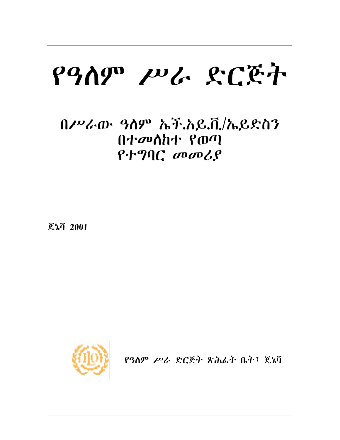# የዓለም ሥራ ድርጅት

## በሥራው ዓስም ኤች.አይ.ቪ/ኤይድስን  $0 + \sigma$   $0 + \sigma$  $P + P C$  *mmlg*

ጀኔቫ 2001



የዓለም ሥራ ድርጅት ጽሕፌት ቤት፣ ጄኔቫ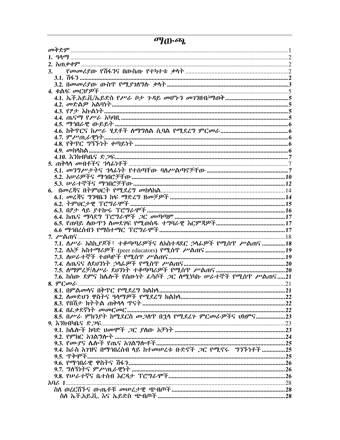|  |  | ጣውጫ |
|--|--|-----|
|--|--|-----|

| 7.1. ስሥራ አስኪያጆች፣ ተቆጣጣሪዎችና ስአስተዳደር ኃላፊዎች የሚሰጥ ሥልጠና18     |  |
|---------------------------------------------------------|--|
|                                                         |  |
|                                                         |  |
|                                                         |  |
|                                                         |  |
| 7.6. ከሰው ደምና ከሴሎች የሰውነት ፌሳሶች ጋር ስሚነካኩ ሥራተኞች የሚሰዋ ሥልጠና21 |  |
|                                                         |  |
|                                                         |  |
|                                                         |  |
|                                                         |  |
|                                                         |  |
|                                                         |  |
|                                                         |  |
|                                                         |  |
|                                                         |  |
|                                                         |  |
|                                                         |  |
|                                                         |  |
|                                                         |  |
|                                                         |  |
|                                                         |  |
|                                                         |  |
|                                                         |  |
|                                                         |  |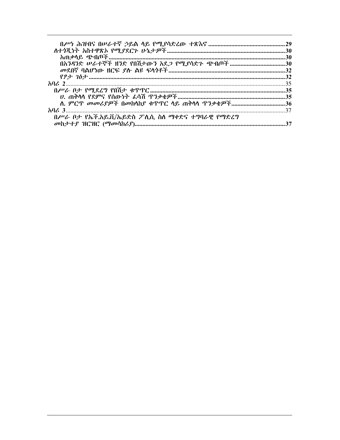| በሥራ ቦታ የኤች.አይ.ቪ/ኤይድስ ፖሊሲ ስስ ማቀድና ተግባራዊ የማድረግ |    |
|----------------------------------------------|----|
|                                              | 37 |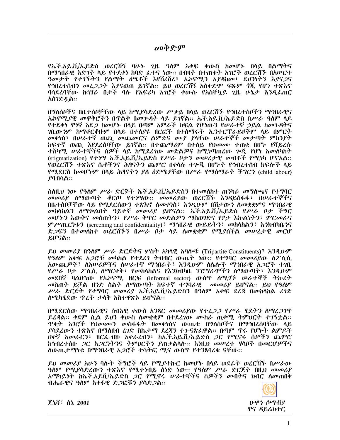መቅድም

የኡች.አይ.ቪ/ኡይድስ ወረርሽኝ ባሁኑ 2ዜ ዓለም አቀፍ ቀውስ ከመሆኑ በላይ በልማትና በማኅበራዊ እድንት ላይ የተደቀነ ከባድ ፌተና ነው፡፡ በብዛት በተጠቁት አገሮች ወሪርሽኙ በአሥርተ ዓመታት የተገኙትን የልማት ዕሤቶች እየሽረሽረ፣ ኤኮኖሚን አያዳከመ፣ ደህንነትን እያናጋና የኅበረተሰብን መረ*ጋጋት እያ*ናወጠ ይገኛል። ይህ ወረርሽኝ አስቀድሞ ፍጹም *ጎ*ጂ የሆነ ተጽእኖ ባሳደረባቸው ከሳሃራ በታች ባሉ የአፍሪካ አንሮች ቀውሱ የአስቸኳይ ጊዜ ሁኔታ እንዲፌጠር አስገድዷል።

በግለሰቦችና በቤተሰቦቻቸው ሳይ ከሚያሳድረው ሥቃይ በሳይ ወረርሽኙ የኅበረተሰቦችን ማኅበራዊና ኤኮኖሚያዊ መዋቅሮችን በዋልቅ በመጕዳት ላይ ይገኛል፡፡ ኤች.አይ.ቪ/ኤይድስ በሥራ ዓለም ላይ የተደቀነ ዋነኛ አደ*ጋ* ከመሆኑ በላይ በጣም አምራች ክፍል የሆነውን የሠራተኛ ኃይል ከመጉዳትና *ገ*ቢውንም ከማቆርቆዙም በሳይ በተሰያዩ ዘርፎች በተሰማሩት ኢንተርፕራይዞችም ሳይ በምርት መቀነስ፣ በሠራተኛ ወጪ መጨመርና ልምድና ሙያ ያሳቸው ሠራተኞች መታጣት ምክንያት ከፍተኛ ወጪ እየደረሰባቸው ይገኛል፡፡ በተጨማሪም በተለይ የህመሙ ተጠቂ በሆኑ የቫይረሱ ተሸካማ. ሠራተኞችና ሰዎች ላይ ከሚደረገው መድልዎና ከሚነጣጠረው ሥጂ የሆነ አመለካከት (stigmatization) የተነሣ ኤች.አይ.ቪ/ኤይድስ የሥራ ቦታን መሠረታዊ መብቶች የሚነካ ሆኖአል፡፡ የወረርሽኙ ተጽእኖ ሴቶችንና ሕፃናትን ጨምሮ በቀላሱ ተሎጂ በሆኑት የኅብረተሰብ ክፍሎች ላይ የሚደርስ ከመሆኑም በሳይ ሕፃናትን ያለ ዕድሜያቸው በሥራ የማስማራት ችግርን (child labour)  $99100$ ል።

ስስዚህ ነው የዓለም ሥራ ድርጅት ኤች.አይ.ቪ/ኤይድስን በተመስከተ ጠንካራ መግለጫና የተግባር መመሪያ ስማውጣት ቆርጦ የተነሣው። መመሪያው ወረርሽኙ እንዳይስፋፋ፣ በሠራተኞችና በቤተሰቦቻቸው ሳይ የሚደርሰውን ተጽእኖ ስመቀነስ፣ እንዲሁም በሽታውን ስመቋቋምና ማኅበራዊ መከሳከልን ስማጕልበት ዓይተኛ መመሪያ ይሆናል፡፡ ኤች.አይ.ቪ/ኤይድስ የሥራ ቦታ ችግር መሆኑን እውቅና መስጠትን፣ የሥራ ቅጥር መድልዎን ማስወገድና የፆታ እኩልነትን፣ ምርመራና ምሥጢርነቱን (screening and confidentiality)፣ ማኅበራዊ ውይይትን፣ መከላከልን፣ እንክብካቤንና ድ*ጋ*ፍን በተመሰከተ ወረርሽኙን በሥራ ቦታ ላይ ለመቋቋም የሚያስችል መሠረታዊ መርሆ ይሆናል።

ይህ መመሪያ በዓለም ሥራ ድርጅትና ሦስት አካላዊ አባሎቹ (Tripartite Constituents) ፣ እንዲሁም የዓለም አቀፍ አ*ጋ*ሮቹ *መካ*ከል የተደረገ ትብብር ውጤት ነው። የተግባር *መመሪያ*ው ስፖሲሲ አውጪዎች፣ ለአሠሪዎችና ለሠራተኛ ማኅበራት፣ እንዲሁም ለሴሎች ማኅበራዊ አ*ጋ*ሮች ተ*ገ*ቢ የሥራ ቦታ ፖሊሲ ለማርቀቅ፣ የመከላከልና የእንክብካቤ ፕሮግራሞችን ለማውጣት፣ እንዲሁም መደበኛ ባልሆነው የኤኮኖሚ ዘርፍ (informal sector) ውስጥ ሰሚገኙ ሠራተኞች ትኩረት መስጠት ይቻል ዘንድ ስልት ስማውጣት ከፍተኛ ተግባራዊ መመሪያ ይሆናል። ይህ የዓለም ሥራ ድርጅት የተግባር መመሪያ ኤች.አይ.ቪ/ኤይድስን በዓለም አቀፍ ደረጃ በመከሳከል ረገድ ለሚካሄደው ጥረት ታላቅ አስተዋጽኦ ይሆናል::-

በሚደርስው ማኅበራዊና ስብአዊ ቀውስ አንጻር መመሪያው የተረ*ጋጋ የሥራ* ሂደትን ስማፈ*ጋገ*ጥ ይረዳል፡፡ ቀደም ሲል ይህን ቀውስ ስመቋቋም በተደረገው ሙከራ ጠቃሚ ትምህርት ተገኝቷል፡፡ <u> ዋቂት አንሮች የህመሙን መስፋፋት በመቀነስና ውጤቱ በግለሰቦችና በማኅበረሰባቸው ሳይ</u> ያሳደረውን ተጽእኖ በማስዘብ ረንድ ስኬታማ ደረጃን ተምናጽፈዋል። በጣም ጥሩ የሆኑት ልምዶች *ሁቀ*ኛ *አመራርን*፣ ዘርፌ-በዙ አቀራረብን፣ ክኤች.አይ.ቪ/ኤይድስ *ጋ*ር የሚኖሩ ሰዎችን ጨምሮ ከኅብረተሰቡ *ጋ*ር አ*ጋ*ርነትንና ትምህርትን ያጠቃልላሉ፡፡ እነዚህ መሠረተ ሃሳቦች በመርሆዎችና ለውጤታማነቱ በማኅበራዊ አ*ጋ*ሮች ተሳትፎ ሚና ውስጥ የተንጸባረቁ ናቸው፡፡

ይህ መመሪያ አሁን ባሉት ችግሮች ላይ የሚያተኩር ከመሆኑ በላይ ወደፊት ወረርሽኙ በሥራው ዓስም የሚያሳድረውን ተጽእኖ የሚተነብይ ሰነድ ነው፡፡ የዓስም ሥራ ድርጅት በዚህ መመሪያ አማካይነት ከኤች.አይቪ/ኤይድስ *ጋ*ር የሚኖሩ ሠራተኞችና ሰዎችን መብትና ክብር ስመጠበቅ ብሔራዊና ዓለም አቀፋዊ ድጋፎቹን ያሳድ*ጋ*ል::



ጄኔቫ፣ ሰኔ 2001

ሁዋን ሶማቭያ ዋና ዳይሬክተር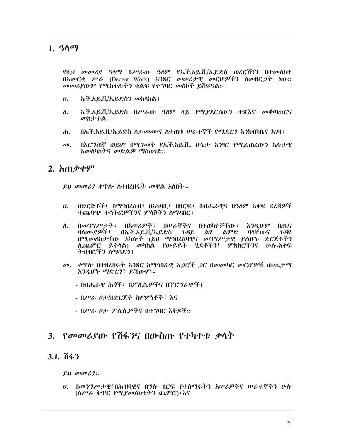#### 1.  $90q$

የዚህ መመሪያ ዓላማ በሥራው ዓለም የኤች.አይ.ቪ/ኤይድስ ወረርሽኝን በተመሰከተ በአመርቂ ሥራ (Decent Work) አንጻር መሠረታዊ መርሆዎችን ስመዘር*ጋት* ነው። መመሪያውም የሚከተሱትን ቁልፍ የተግባር መስኮች ይሽፍናል፡-

- ኤች.አይ.ቪ/ኤይድስን መከሳከል፤  $\boldsymbol{\theta}$ .
- ኤች.አይ.ቪ/ኤይድስ በሥራው ዓለም ላይ የሚያደርሰውን ተጽእኖ መቆጣጠርና ለ. መከታተል !
- በኤች.አይ.ቪ/ኤይድስ ስታመሙና ስተጠቁ ሠራተኞች የሚደረግ እንክብካቤና እንዛ፤  $\mathbf{d}$
- በእርግጠኛ ወይም በሚገመት የኡች.አይ.ቪ. ሁኔታ አንፃር የሚፌጠረውን አሉታዊ  $\boldsymbol{\sigma}$ አመስካከትና መድልዎ ማስመገድ::

#### 2.  $\hbar \Omega$   $\phi \phi$ ም

ይህ መመሪያ ቀጥሎ ስተዘረዘሩት መዋል አስበት፡-

- በድርጅቶች፣ በማኅበረሰብ፣ በአካባቢ፣ በዘርፍ፣ በብሔራዊና በዓለም አቀፍ ደረጃዎች  $U_{\rm h}$ ተጨባጭ ተሳትፎዎችንና ምሳሾችን ስማዳበር፤
- በመንግሥታት፣ በአሠሪዎች፣ በሠራኞችና በተወካዮቻቸው፣ ለ. <u>እንዲሁም</u> በጤና ባለሙያዎች፣ በኤች.አይ.ቪ/ኤይድስ ንዳይ ልዩ ልምድ ባላቸውና  $P$ -AR በሚመለከታቸው አካሎች (ይህ ማኅበረሰባዊና መንግሥታዊ ያልሆኑ ድርጅቶችን ሊጨምር ይችላል) መካከል የውይይት ሂደቶችን፣ ምክክሮችንና ሁሉ-አቀፍ ትብብሮችን ስማሳደግ፣
- *መ. ቀ*ዋሎ በተዘረዘሩት አንጻር ከማኅበራዊ አ*ጋ*ሮች *ጋ*ር በመመካር መርሆዎቹ ውጤታማ እንዲሆኑ ማድረግ፣ ይኸውም፡-
	- በብሔራዊ ሕጎች፣ በፖሊሲዎችና በፕሮግራሞች፣
	- በሥራ ቦታ/በድርጅት ስምምነቶች፣ እና
	- በሥራ ቦታ ፖሊሲዎችና በተግባር እቅዶች።

#### 3. *የመመሪያ*ው የሽፋንና በውስጡ የተካተቱ ቃሳት

#### $3.1.7643$

 $\ell \upsilon$  *m*  $\sigma \upsilon \ell \upsilon$ :

*ህ. በመንግሥታዊ*፣በሕዝባዊና በግሉ ዘርፍ የተሰማሩትን አሥራዎችና ሥራተኞችን ሁሉ (ስሥራ ቅዋር የሚያመስክቱትን ጨምሮ)፣እና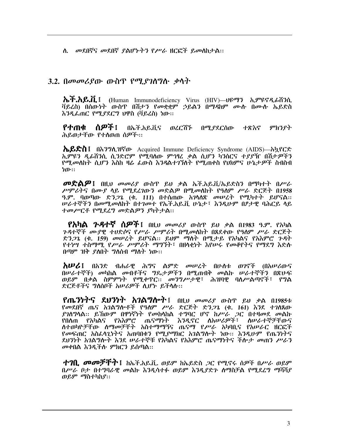ለ. መደበኛና መደበኛ ያልሆኑትን የሥራ ዘርፎች ይመስከታል፡፡

#### 3.2. በመመሪያው ውስጥ የሚያገለግሱ ቃላት

ሕች.አይ.ቪ. i (Human Immunodeficiency Virus (HIV)—υዩማን ኢምዩኖዲራሽንሲ ቫይረስ) በሰውነት ውስዋ በሽታን የመቋቋም ኃይልን በማዳከም ሙሱ በሙሱ ኤይድስ እንዲፌጠር የሚያደርግ ህዋስ (ቫይረስ) ነው።

ስዎች ፣ የተጠቂ በኤች.አይ.ቪና ወረርሽኙ በሚያደርሰው ተጽእኖ ምክንየት ሕይወታቸው የተስወጠ ሰዎች።

ሌይድስ፤ በእንግሊዝኛው Acquired Immune Deficiency Syndrome (AIDS)—አኳየርድ ኢምዩን ዲፊሽንሲ ሲንድሮም የሚባለው ምኅፃፈ ቃል ሲሆን ካንሰርና ተያያዥ በሽታዎችን የሚመለከት ሲሆን እስከ ዛሬ ፌውስ እንዳልተገኘለት የሚጠቀስ የህክምና ሁኔታዎች ስብስብ ካጡ።

 $\boldsymbol{\sigma}$ ድልዎ፤ በዚህ መመሪያ ውስጥ ይህ ቃል ኤች.አይ.ቪ/ኤይድስን በማካተተ በሥራ ሥምሪትና በሙያ ሳይ የሚደረገውን መድልዎ በሚመስከት የዓስም ሥራ ድርጅት በ1958 ዓ.ም. ባወጣው ድ*ንጋጌ* (ቁ. 111) በተሰጠው አ*ገ*ላለጽ መሠረት የሚካተት ይሆናል:: *ሠራተኞችን በመሚመ*ስከት በተገመተ የኤች.አይ.ቪ ሁኔታ፣ እንዲሁም በፆታዊ ባሕርይ ላይ ተመሥርቶ የሚደረግ መድልዎን ያካትታል።

 $P$ አካል ጉዳተኛ ሰዎች፤ በዚህ መመሪያ ውስጥ ይህ ቃል በ1983 ዓ.ም. የአካል *ጉዳ*ተኞች *ሙያዊ ተሀ*ድሶና የ*ሥራ ሥምሪት* በሚመስከት በጸደቀው የዓስም ሥራ ድርጅት ድንጋጌ (ቁ. 159) መሠረት ይሆናል። ይህም ማስት በሚታይ የአካልና የአእምሮ ጉዳት <u>የተነሣ ተስማሚ የሥራ ሥምራት ማግኘት፣ በዘላቂነት እየሠሩ የመቆየትና የማደግ እድሉ</u> በጣም ዝቅ ያለበት ግለሰብ ማለት ነው።

**አሠሪ**፤ በአንድ ብሐራዊ ሕግና ልምድ መሠረት በሁስቱ ወገኖች (በአሠሪውና በሠራተኞች) መካከል መብቶችና ግዴታዎችን በሚጠብቅ መልኩ ሠራተኞችን በጽሁፍ ወይም በቃል ስምምነት የሚቀጥር፡፡ መንግሥታዊ፣ ሕዝባዊ ባስሥልጣኖች፣ የግል ድርጅቶችና ግለሰቦች አሥራዎች ሊሆኑ ይችላሉ::

የጤንነትና ደህንነት አገልግሎት! በዚህ መመሪያ ውስጥ ይህ ቃል በ1985ቱ የመደበኛ ጤና አንልግሎቶች የዓለም ሥራ ድርጅት ድንጋጌ (ቁ. 161) እንደ ተንስጸው ያገስግሳል፡፡ ይኸውም በዋነኛነት የመከሳከል ተግባር ሆኖ ከሥራ ጋር በተዛመደ መልኩ የበለጠ የአካልና የአእምሮ ጤናማነት እንዲኖር ለአሠሪዎች፣ ለሠራተኞቻቸውና ለተወካዮቻቸው ለማመቻቸት አስተማማኝና ጤናማ የሥራ አካባቢና የአሠራር ዘርፎች *የመ*ፍጠር አስፈሳጊነትና አጠባበቁን የሚደማክር አንልግሎት ነው፡፡ እንዲሁም የጤንነትና ደህንነት አንልግሎት እንደ ሠራተኞቹ የአካልና የአእምሮ ጤናማነትና ችሎታ መጠን ሥራን መቀበል እንዲችሉ ምክርን ይሰጣል::

**ተገቢ መመቻቸት፤** ከኤች.አይ.ቪ. ወይም ከኤይድስ *ጋ*ር የሚኖሩ ሰዎች በሥራ ወይም በሥራ ቦታ በተግባራዊ መልኩ እንዲሳተፉ ወይም እንዲያድጉ ስማስቻል የሚደረግ ማሻሻያ ወይም ማስተካከያ፡፡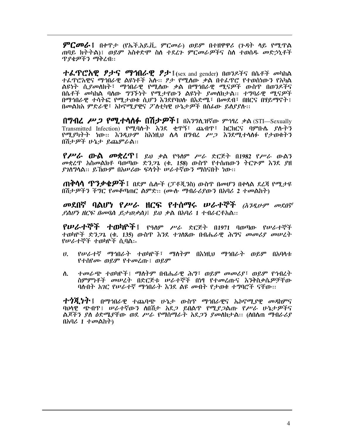$\bm{\mathcal{P}}$ ርመራ፤ በቀዋታ (የኤች.አይ.ቪ. ምርመራ) ወይም በተዘዋዋሪ (ጉዳት ላይ የሚጥል ጠባይ ክትትል)፤ ወይም አስቀድሞ ስለ ተደረጉ ምርመራዎችና ስለ ተወሰዱ መድኃኒቶች ጥያቂዎችን ማቅረብ::

ተፌዋሮአዊ ፆታና ማኅበራዊ ፆታ፤ (sex and gender) በወንዶችና በሴቶች መካከል ተፌዋሮአዊና ማኅበራዊ ልዩነቶች አሉ። ፆታ የሚለው ቃል በተፌዋሮ የተወሰነውን የአካል ልዩነት ሲ*ያመ*ለክት፣ ማኅበራዊ የሚለው ቃል በማኅበራዊ ሚና*ዎች* ውስዋ በወንዶችና በሴቶች መካከል ባለው *ግንኙነት የሚታየ*ውን ልዩነት *ያመ*ለክታል። ተግባራዊ ሚና*ዎች* በማኅበራዊ ተሳትፎ የሚታወቁ ሲሆን እንደየባህሉ በእድሜ፣ በመደብ፣ በዘርና በሃይማኖት፣ በመልክአ ምድራዊ፣ አኮኖሚያዊና ፖስቲካዊ ሁኔታዎች በሰፊው ይሰያያስ፡፡

በግብረ ሥጋ የሚተሳሰፉ በሽታዎች፤ በእንግሊዝኛው ምኅዓሪ ቃል (STI—Sexually Transmitted Infection) የሚባሱት እንደ ቂጥኝ፣ ጨብጥ፣ ከርክርና ባምቡሴ ያሱትን የሚያካትት ነው። እንዲሁም ከእነዚህ ሴሳ በግብረ ሥጋ እንደሚተሳሰፉ የታወቁትን በሽታዎች ሁኔታ ይጨምራል።

 $P$ ሥራ ውል መቋረጥ፤ ይህ ቃል የዓለም ሥራ ድርጅት በ1982 የሥራ ውልን *መ*ቋረዋ አስመልክቶ ባወጣው ድን*ጋ*ጌ (ቁ. 158) ውስዋ የተሰጠውን ትርጕም እንደ ያዘ ያገስግላል። ይኸውም በአሥሪው ፍላጎት ሥራተኛውን ማሰናበት ነው።

**ጠቅሳሳ ጥንቃቄዎች፤** በደም ሴሎች (ፓቶጂንስ) ውስጥ በመሆን በቀላል ደረጃ የሚታዩ በሽታዎችን ችግር የመቆጣጠር ልምድ፡፡ (ሙሉ ማብራሪያውን በአባሪ 2 ተመልከት)

መደበኛ ባልሆነ የሥራ ዘርፍ የተሰማሩ ሠራተኞች *(እንዲሁም መደበኛ*  $\ell$ ልሆነ ዘርፍ በመባል ይታወቃል) ይህ ቃል በአባሪ 1 ተብራርቶአል::

የሠራተኞች ተወካዮች፤ የዓለም ሥራ ድርጅት በ1971 ባወጣው የሠራተኞች ተወካዮች ድን*ጋ*ጌ (ቁ. 135) ውስዋ እንደ ተ*ገ*ለጸው በብሔራዊ ሕግና መመሪ*ያ መሠ*ረት የሥራተኞች ተወካዮች ሲባል፡-

- የሥራተኛ ማኅበራት ተወካዮች፣ ማስትም በእነዚህ ማኅበራት ወይም በአባላቱ  $U_{\rm{a}}$ የተሰየሙ ወይም የተመረጡ፤ ወይም
- ተመራጭ ተወካዮች፤ ማስትም በብሔራዊ ሕግ፣ ወይም መመሪያ፣ ወይም የኅብረት ለ. ስምምነቶች መሠረት በድርጅቱ ሠራተኞች በነፃ የተመረጡና እንቅስቃሴዎቻቸው ባስብት አገር የሠራተኛ ማኅበራት እንደ ልዩ መብት የታወቁ ተግባሮች ናቸው፡፡

**ተጎጂነተ**፤ በማኅበራዊ ተጨባጭ ሁኔታ ውስጥ ማኅበራዊና ኤኮኖሚ*ያ*ዊ *መዳ*ከምና ባህሳዊ ጭብዋ፤ ሠራተኛውን ለበሽታ አደ*ጋ* ይበልዋ የሚ*ያጋ*ልጡ የሥራ ሁኔታዎችና ልጆችን ያስ ዕድሜያቸው ወደ ሥራ የማስማራት አደ*ጋን ያመ*ስክታል። (ስበስጠ ማብራሪያ በአባሪ 1 ተመልከት)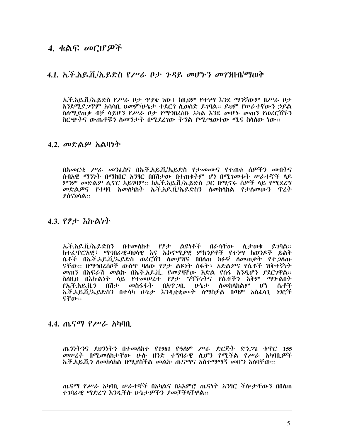#### $4.4$ ልፍ መርሆዎች

#### 4.1. ኤች.አይ.ቨ/ኤይድስ የሥራ ቦታ ንዳይ መሆኑን መገንዘብ/ማወቅ

ኤች.አይ.ቪ/ኤይድስ የሥራ ቦታ ጥያቄ ነው፤ ከዚህም የተነሣ እንደ ማንኛውም በሥራ ቦታ እንደሚያ*ጋ*ጥም አሳሳቢ ሀመም/ሁኔታ ተደርጎ ሲወሰድ ይገባል። ይህም የሠራተኛውን ኃይል ስስሚያጠቃ ብቻ ሳይሆን የሥራ ቦታ የማኅበረሰቡ አካል እንደ መሆኑ መጠን የወረርሽኙን ስርጭትና ውጤቶቹን ስመግታት በሚደረገው ትግል የሚጫወተው ሚና ስሳስው ነው።

#### 4.2. መድልዎ አልባነት

በአመርቂ ሥራ መንፌስና በኤች.አይ.ቪ/ኤይድስ የታመሙና የተጠቁ ሰዎችን መብትና ሰብአዊ ማንነት በማክበር አንፃር በበሽታው በተጠቁትም ሆነ በሚገመቱት ሠራተኞች ላይ *ምን*ም መድል*ዎ* ሊኖር አይገባም። ከኤች.አይ.ቪ/ኤይድስ *ጋ*ር በሚኖሩ ሰ*ዎች* ላይ የሚደረግ መድልዎና የተዛባ አመስካከት ኤች.አይ.ቪ/ኤይድስን ስመከሳከል የታሰመውን ዋረት **ያሰናክሳል**።

#### 4.3. የፆታ እኩልነት

ኤች.አይ.ቪ/ኤይድስን በተመሰከተ የፆታ ልዩነቶች በራሳቸው ሲታወቁ  $P.70\text{Å}$ :: ከተፈጥሮአዊ፣ ማኅበራዊ-ባሀሳዊ እና ኤኮኖሚያዊ ምክንያቶች የተነሣ ከወንዶች ይልቅ ሴቶች በኤች.አይ.ቪ/ኤይድስ ወረርሽን ለመያዝና በበለጠ ክፉኛ ለመጠቃት የተ*ጋ*ለጡ ናቸው። በማኅበረሰቦች ውስዋ ባለው የፆታ ልዩነት ስፋት፣ አድልዎና የሴቶች ዝቅተኛነት መጠን በአፍራሽ መልኩ በኤች.አይ.ቪ. የመያዛቸው እድል የሰፋ እንዲሆን ያደርገዋል፡፡ ስስዚህ በእኩልነት ሳይ የተመሠረተ የፆታ ግኝኙነትና የሴቶችን አቅም ማሎልበት የኤች.አይ.ቪን በሽታ *መ*ስፋፋት በአዋ*ጋ*ቢ ሁኔታ ለመከላከልም ሆነ ሴቶች ኤች.አይ.ቨ/ኤይድስን በተሳካ ሁኔታ እንዳቋቋሙት ለማስቻል በጣም አስፈላን ነንሮች ናቸው።

#### 4.4. ጤናማ የሥራ አካባቢ

ጤንነትንና ደህንነትን በተመለከተ የ1981 የዓለም ሥራ ድርጅት ድን*ጋጌ* ቁጥር 155<br>*መሠረት* በሚመለከታቸው ሁሉ ዘንድ ተግባራዊ ሲሆን የሚችል የ*ሥራ* አካባቢ*ዎች* ኤች.አይ.ቪን ስመከሳከል በሚያስችል መልኩ ጤናማና አስተማማኝ መሆን አለባቸው፡፡

ጤናማ የሥራ አካባቢ ሥራተኞች በአካልና በአእምሮ ጤናነት አንፃር ችሎታቸውን በበለጠ ተገባራዊ ማድረግ እንዲችሉ ሁኔታዎችን ያመቻችላቸዋል።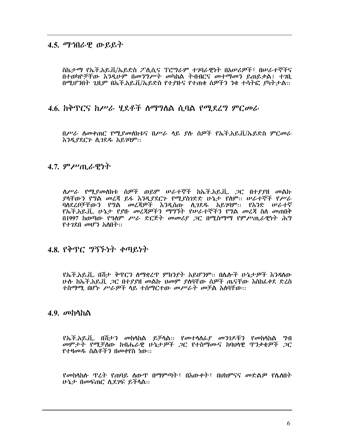#### 4.5. ማኅበራዊ ውይይት

ስኬታማ የኤች.አይ.ቪ/ኤይድስ ፖሊሲና ፕሮግራም ተገባራዊነት በአሠሪዎች፣ በሠራተኞችና በተወካዮቻቸው እንዲሁም በመንግሥት መካከል ትብብርና መተማመን ይጠይቃል፤ ተገቢ በሚሆንበት ጊዚም በኤች.አይ.ቪ/ኤይድስ የተደዙና የተጠቁ ሰዎችን ንቁ ተሳትፎ ያካትታል፡፡

#### 4.6. ከቅጥርና ከሥራ ሃደቶች ስማግለል ሲባል የማደረግ ምርመራ

በሥራ ስመቀጠር የሚያመስክቱና በሥራ ሳይ ያሉ ሰዎች የኡች.አይ.ቪ/ኡይድስ ምርመራ እንዲያደርጉ ሲገደዱ አይገባም፡፡

#### $4.7.$  ምሥጢራዊነት

ለሥራ የሚያመለክቱ ሰዎች ወይም ሠራተኞች ከኤች.አይ.ቪ. *ጋ*ር በተያያዘ መልኩ ያሳቸውን የግል መረጃ ይፋ እንዲያደርጉ የሚያስገድድ ሁኔታ የሰም። ሠራተኞች የሥራ ባለደረቦቻቸውን የግል መረጃዎች እንዲሰጡ ሲገደዱ አይገባም፡፡ የአንድ ሠራተኛ የኤች.አይ.ቪ. ሁኔታ የያዙ መረጃዎችን ማግኘት የሠራተኞችን የግል መረጃ ስለ መጠበቅ በ1997 ከወጣው የዓለም ሥራ ድርጅት መመሪያ ጋር በሚስማማ የምሥጢራዊነት ሕግ  $P+2P_0$  መሆን አለበት::

#### 4.8. የቅጥር ግኝኙነት ቀጣይነት

የኤች.አይ.ቪ. በሽታ ቅጥርን ስማቋረጥ ምክንያት አይሆንም፡፡ በሴሎች ሁኔታዎች እንዳስው <u>ሁሉ ከኤች.አይ.ቪ .2C በተደደዘ መልኩ ህመም ደሰባቸው ሰዎች ጤናቸው እስከፌቀደ ድረስ</u> ተስማማ. በሆኑ ሥራዎች ላይ ተስማርተው መሥራት መቻል አለባቸው።

#### 4.9.  $\sigma$ bhha

*የኤች.አይ.ቪ. በሽታን መከ*ሳከል ይቻሳል:: የመተሳሰ*ፊያ መንገዶቹን የመከ*ሳከል *ግ*ብ መምታት የሚቻለው ከብሔራዊ ሁኔታዎች ጋር የተስማሙና ከባህላዊ ጥንቃቄዎች ጋር የተዛመዱ ስልቶችን በመቀየስ ነው።

ሁኔታ በመፍጠር ሲደገፍ ይችሳል።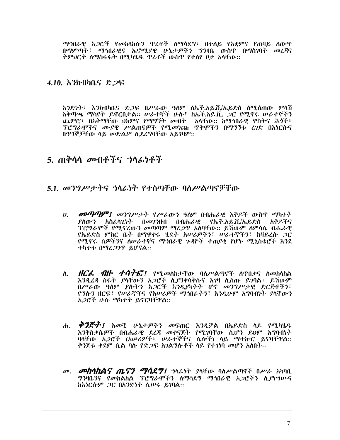ማኅበራዊ አ*ጋ*ሮች የመከሳከሱን ዋረቶች ስማሳደግ፣ በተለይ የአቋምና የጠባይ ስውጥ በማምጣት፣ ማኅበራዊና ኤኖሚያዊ ሁኔታዎችን ግንዛቤ ውስጥ በማስገባት መረጃና ትምህርት ስማስፋፋት በሚካሄዱ ዋረቶች ውስዋ የተሰየ ቦታ አሳቸው፡፡

#### 4.10. እንክብካቤና ድጋፍ

አንድነት፣ እንክብካቤና ድ*ጋ*ፍ በሥራው *ዓ*ለም ለኡች.አይ.ቪ/ኡይድስ ለሚሰጠው ምሳሽ አቅጣጫ ማሳየት ይኖርበታል። ሠራተኞች ሁሉ፣ ከኤች.አይ.ቪ. 2ር የሚኖሩ ሠራተኞችን ጨምሮ፣ በአቅማቸው ህክምና የማግኘት መብት ከአሳቸው፡፡ ከማኅበራዊ ዋስትና ሕሳች፣ *ፕሮግራሞችና ሙያዊ ሥ*ልጠና*ዎች የሚመነ*ጩ ዋቅሞችን በማግኘቱ ረ*ገ*ድ በእነርሱና በጥገኞቻቸው ሳይ መድልዎ ሲደረግባቸው አይገባም፡፡

#### $5.$  ጠቅስስ መብቶችና ኃስፌነቶች

#### $5.1.$  መንግሥታትና 'ነላፊነት የተሰጣቸው ባለሥልጣኖቻቸው

- *ህ. መጣጣም፤ መንግሥታት የሥራ*ውን ዓለም በብሔራዊ እቅዶች ውስዋ ማካተት <u> የለውን አስፈላንነት በመንንዘብ በብሔራዎ የኤች.አይ.ቨ/ኤይድስ አቅዶችና</u> *ፕሮግራሞች የሚኖረ*ው*ን መጣጣም ማረጋ*ዋ አለባቸው፡፡ ይሽውም ስምሳሌ ብሔራዊ የኤይድስ ምክር ቤት በማዋቀሩ ሂደት አሠሪዎችን፣ ሠራተኞችን፣ ከቫይረሱ ጋር የሚኖሩ ሰዎችንና ስሥራተኛና ማኅበራዊ ጉዳዮች ተጠያቂ የሆኑ ሚኒስቴሮች እንደ ተካተቱ በማፈ*ጋገ*ጥ ይሆናል።
- *HCL ብዙ ተሳትሮ። የሚመ*ስከታቸው ባለሥልጣኖች ስዋበቃና ስመከላከል ለ. እንዳረዳ ስፋት ያሳቸውን አጋሮች ሲያንቀሳቅሱና እንዛ ሲሰጡ ይገባል፤ ይኸውም በሥራው ዓለም ያሉትን አጋሮች እንዲያካትት ሆኖ መንግሥታዊ ድርጅቶችን፣ የግሉን ዘርፍ፣ የሠራኞችና የአሠሪዎች ማኅበራትን፣ እንዲሁም አግባብነት ያላቸውን አ*ጋ*ሮች ሁሉ ማካተት ይኖርባቸዋል።
- ሐ. *ቅንጅት፤ አ*መቺ ሁኔታዎችን መፍጠር እንዲቻል በኤይድስ ሳይ የሚካሄዱ እንቅስቃሴዎች በብሔራዊ ደረጃ መቀናጀት የሚገባቸው ሲሆን ይህም አግባብነት ባላቸው አ*ጋ*ሮች (አሠሪዎች፣ ሠራተኞችና ሌሎች) ላይ ማተኩር ይኖባቸዋል፡፡ ቅንጅቱ ቀደም ሲል ባሉ የድ*ጋ*ፍ አገልግሎቶች ላይ የተ*ገነ*ባ መሆን አስበት፡፡
- ሙ. **መክሳክልና ጤናን ማሳደግ**፤ ተላፊነት ያላቸው ባለሥልጣኖች በሥራ አካባቢ *ግን*ዛቤ*ንና የመከ*ልከል ፐሮግራሞችን ስማሳደግ ማኅበራዊ አ*ጋ*ሮችን ሲ*ያነግ*ሥና ከእነርሱም *ጋ*ር በአንድነት ሲሥሩ ይገባል።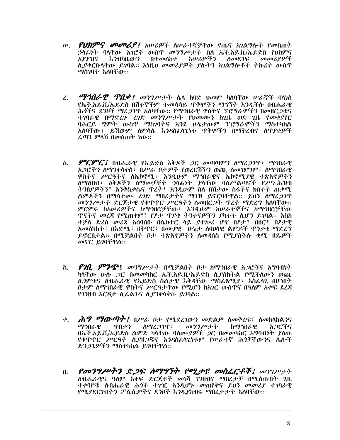- *የህክምና መመሪያ፤* አሠሪዎች ስሠራተኞቻቸው የጤና አገልግሎት የመስጠት  $\boldsymbol{\psi}$ . ኃላፊነት ባላቸው አገሮች ውስዋ መንግሥታት ስለ ኤች.አይ.ቪ/ኤይድስ የህክምና አያያዝና አሠሪዎችን እንብካቤውን በተመለከተ ስመደ*ገ*ፍ መመሪያዎች ሊያቀርቡሳቸው ይገባል። እነዚህ መመሪያዎች ያሉትን አገልግሎቶች ተኩረት ውስጥ *ማስገ*ባት አለባቸው።
- *ማኅበራዊ ዋበቃ፤ መንግሥታት* ሌላ ከባድ ህመም ካለባቸው ሠራኞች ባላነስ  $\mathcal{L}$ . የኡች.አይ.ቪ/ኡይድስ በሽተኞችም ተመሳሳይ ዋቅሞችን ማግኘት እንዲችሉ በብሔራዊ ሕሳችና ደንቦች ማሬ*ጋገ*ጥ አለባቸው፡፡ የማኅበራዊ ዋስትና ፕሮግራሞችን በመዘር*ጋ*ቱና ተገባራዊ በማድረጉ ረገድ መንግሥታት የህመሙን ከጊዜ ወደ ጊዜ የመቀያየር ባሕርይ *ግ*ምት ውስዋ ማስንባትና እንደ ሁኔታውም ፐሮግራሞችን ማስተካከል አለባቸው፤ ይኸውም ስምሳሌ እንዳስፌሳጊነቱ ጥቅሞችን በማቅረብና ስጥያቄዎች ፌጣን ምላሽ በመስጠት ነው፡፡
- *ምርምር፤ በብሔራዊ የኤ*ይድስ እቅዶች *ጋር መጣጣምን ስማሬጋገ*ጥ፣ *ማኅበ*ራዊ ለ. አ*ጋ*ሮችን ስማንቀሳቀስ፣ በሥራ ቦታ*ዎ*ች የወረርሽችን ወጪ ስመንምንም፣ ስማኅበራዊ ዋስትና ሥርዓትና ስኤኮኖሚ፤ እንዲሁም ማኅበራዊና ኤኮኖሚያዊ ተጽእኖዎችን ለማስዘብ፣ *ዕቅዶችን ለማመቻቸት ኀ*ሳፊነት *ያ*ላቸው ባለሥልጣኖች የሥነ-ሕዝብ ትንበያዎችን፣ እንቅስቃሴና ዋረት፣ እንዲሁም ስለ በሽታው ስፋትና ክስተት ጠቃሚ ልምዶችን በማሳተሙ ፈገድ ማበረታትና ማገዝ ይኖርባቸዋል፡፡ ይህን ስማረ*ጋገ*ጥ መንግሥታት ድርጅታዊ የቁዋዋር ሥርዓትን ስመዘር*ጋ*ት ዋረት ማድረግ አስባቸው። ምርምሩ ከአሠራዎችና ከማኅበሮቻቸው፤ እንዲሁም ከሠራተኞችና ከማኅበሮቻቸው **ጥናትና መረጃ የሚጠቀም፣ የፆታ ጥያቄ ትንተናዎችን ያካተተ ሲሆን ይገባል። እስከ** ተቻለ ድረስ መረጃ አሰባሰቡ በሴክተር ላይ ያተኩረ ሆኖ በፆታ፣ በዘር፣ በፆታዊ አመስካከት፣ በእድሜ፣ በቅጥር፣ በሙያዊ [ሁኔታ ስባሀሳዊ ልምዶች ጥንቃቄ ማድረግ ይኖርበታል። በሚቻልበት ቦታ ተጽእኖዎችን ስመዳሰስ የሚያስችሱ ቋሚ ዘዴዎች መኖር ይገባቸዋል።
- *የገቢ ምንጭ*፤ *መንግሥታት* በሚቻልበት ቦታ ከማኅበራዊ አ*ጋ*ሮችና አግባብነት ሽ. ካሳቸው ሁሉ *ጋ*ር በመመካከር ኡች.አይ.ቪ/ኡይድስ ሊያስከተል የሚችለውን ወጪ ሲገምቱና ስብሔራዊ የኤይድስ ስልታዊ እቅዳቸው ማስፌጸሚያ፣ አስፌሳጊ በሆነበት ቦታም ስማኅበራዊ ዋስትና ሥርዓታቸው የሚሆን ከአገር ውስዋና በዓለም አቀፍ ደረጃ የገንዘብ እርዳታ ሲፌልንና ሲያንቀሳቅሱ ይገባል፡፡
- *ሕግ ማውጣት፤* በሥራ ቦታ የሚደረገውን መድልዎ ስመቅረፍ፣ ስመከሳከልንና  $\phi$ . ማኅበራዋ ጥበ*ቃን ስማሬጋገ*ጥ፣ መንግሥታት ከማኅበራዊ አ ጋሮችና በኤች.አይ.ቪ/ኤይድስ ልምድ ካላቸው ባለሙያዎች ጋር በመመካከር አግባብነት ያስው የቁጥጥር ሥርዓት ሲያዘጋጁና እንዳስፌሳጊነቱም የሥራተኛ ሕጎቻቸውንና ሴሎች ድን*ጋጌዎችን ማ*ስተካከል ይገባቸዋል::
- የመንግሥትን ድጋፍ ሰማግኘት የሚታዩ መስፌርቶች፤ መንግሥታት  $\mathbf{0}$ . ስብሔራዊና ዓስም አቀፍ ድርጅቶች መነሻ ገንዘብና ማበረታቻ በሚሰጡበት ጊዜ ተቀባዮቹ ስብሔራዊ ሕጎች ተገዢ እንዲሆኑ መጠየቅና ይህን መመሪያ ተገባራዊ የሚያደርጉበትን ፖለሲዎችና ደንቦች እንዲያከብሩ ማበረታታት አለባቸው፡፡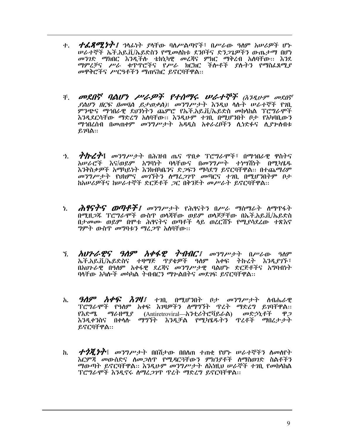- ተ. *ተፌጸማንታት፤ ኀ*ላፊነት ያላቸው ባለሥልጣኖች፣ በሥራው ዓለም አሠራዎች ሆኑ ሥራተኞች ኤች.አይ.ቪ/ኤይድስን የሚመስከቱ ደንቦችና ድን*ጋጌዎችን* ውጤታማ በሆነ መንገድ ማክበር እንዲችሉ ቴክኒካዊ መረጃና ምክር ማቅረብ አለባቸው፡፡ እንደ ማምረቻና ሥራ ቁጥጥሮችና የሥራ ክርክር ችሎቶች ያሉትን የማስፈጸሚያ መዋቅሮችና ሥርዓቶችን ማጠናከር ይኖርባቸዋል::-
- ች. **መደበኛ ባልሆነ ሥራዎች የተሰማሩ ሠራተኞች** (እንዲሁም መደበኛ  $\ell$ ልሆነ ዘርፍ በመባል ይታወቃል) መንግሥታት እንዲህ ላሉት ሠራተኞች የገቢ ምንጭና ማኅበራዊ ደህንነትን ጨምሮ የኤች.አይ.ቪ/ኤይድስ መከሳከል ፐሮግራሞች እንዲደርሳቸው ማድረግ አለባቸው፡፡ እንዲሁም ተገቢ በሚሆንበት ቦታ የአካባቢውን *ማኅ*በረስብ በመጠቀም *መንግሥታት አዳዲ*ስ አቀራረቦችን ሊነድፉና ሊ*ያጕ*ስብቱ  $\lambda$ **::**
- *ኀ. ?ስረ?*፤ መንግሥታት በሕዝብ ጤና ዋበቃ ፕሮግራሞች፣ በማኅበራዊ ዋስትና አሠራሮች እና/ወይም አግባነት ባላቸውና በመንግሥት ተነሣሽነት በሚካሄዱ እንቅስቃዎች አማካይነት እንክብካቤንና ድ*ጋ*ፍን ማሳደግ ይኖርባቸዋል፡፡ በተጨማሪም መንግሥታት የህክምና መገኘትን ስማፈጋገጥ መጣርና ተገቢ በሚሆንበትም ቦታ ከአሠሪዎችና ከሠራተኞች ድርጅቶች *ጋ*ር በቅንጅት መሥራት ይኖርባቸዋል።
- *ሕፃናትና ወጣቶች፤ መንግሥታት የ*ሕፃናትን በሥራ ማስማራት ስማዋፋት ነ. በሚዘ*ጋ*ጁ ፕሮግራሞች ውስጥ ወሳጃቸው ወይም ወሳጆቻቸው በኡች.አይ.ቨ./ኡይድስ በታመሙ ወይም በሞቱ ሕፃናትና ወጣቶች ላይ ወረርሽኙ የሚያሳደረው ተጽእኖ *ግ*ምት ውስጥ መግባቱን ማረ*ጋ*ጥ አስባቸው፡፡
- **አህንራዊና ዓለም አቀፋዊ ተብብር**፤ መንግሥታት በሥራው ዓለም 7. ኤች.አይ.ቪ/ኤይድስና ተዛማጅ ጥያቄዎች ዓለም አቀፍ ትኩረት እንዲያገኙ፣ በአህንራዊ በዓለም አቀፋዊ ደሬጃና መንግሥታዊ ባልሆኑ ድርጅቶችና አግባብነት ባላቸው አካሎች መካካል ትብብርን ማን ልበትና መደንፍ ይኖርባቸዋል፡፡
- *ዓለም አቀፍ እገዛ፤* ተገቢ በሚሆንበት ቦታ መንግሥታት ስብሔራዊ አ. ፕሮግራሞች የዓለም አቀፍ እንዛዎችን ለማግኘት ጥረት ማድረግ ይገባቸዋል:: የእድሜ ማራዘሚያ (Antiretroviral—አንቲሪትሮቫይራል) መድኃኒቶች ዋ*ጋ* እንዲቀንስና በቀላሉ ማግኘት እንዲቻል የሚካሄዱትን ጥረቶች ማበረታታት ይኖርባቸዋል።
- $\boldsymbol{\psi}$   $\boldsymbol{\psi}$   $\boldsymbol{\psi}$   $\boldsymbol{\psi}$   $\boldsymbol{\psi}$   $\boldsymbol{\psi}$   $\boldsymbol{\psi}$   $\boldsymbol{\psi}$   $\boldsymbol{\psi}$   $\boldsymbol{\psi}$   $\boldsymbol{\psi}$   $\boldsymbol{\psi}$   $\boldsymbol{\psi}$   $\boldsymbol{\psi}$   $\boldsymbol{\psi}$   $\boldsymbol{\psi}$   $\boldsymbol{\psi}$   $\boldsymbol{\psi}$   $\boldsymbol{\psi}$   $\boldsymbol{\psi}$   $\boldsymbol{\psi}$   $\boldsymbol{\psi}$   $\boldsymbol{\psi}$   $\boldsymbol{\psi}$   $\boldsymbol$  $h_{\cdot}$ እርምጃ መውሰድና ስመ*ጋ*ስጥ የሚዳርጓቸውን ምክንያቶች ስማስወገድ ስልቶችን *ማ*ውጣት ይኖርባቸዋል። እንዲሁም *መንግሥታት* ስእነዚህ ሠራኞች ተገቢ የመከሳከል ፕሮግራሞች እንዲኖሩ ስማረ*ጋገ*ጥ ጥረት ማድረግ ይኖርባቸዋል፡፡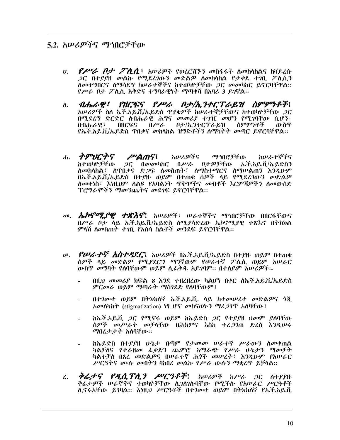#### 5.2. *አሠሪዎችና ማኅ*በሮቻቸው

- $P$ ሥራ  $P$ ታ  $P$ ሊሲ፤ አሠሪዎች የወረርሽኙን መስፋፋት ስመከላከልና ከቫይረሱ  $U_{\rm h}$ *ጋ*ር በተያያዘ መልኩ የሚደረገውን መድልዎ ስመከላከል የታቀደ ተገቢ ፖሊሲን ስመተግበርና ስማሳደግ ከሠራተኞችና ከተወካዮቻቸው *ጋ*ር መመካከር ይኖርባቸዋል፡፡ የሥራ ቦታ ፖሲሲ እቅድና ተግባራዊነት ማጣቀሻ በአባሪ 3 ይገኛል።
- ብሔራዊ፣ የዘርፍና የሥራ ቦታ/ኢንተርፕራይዝ ስምምነቶች፤  $\Lambda$ . አሠሪዎች ስስ ኤች.አይ.ቪ/ኤይድስ ዋያቄዎች ከሠራተኞቻቸውና ከተወካዮቻቸው ጋር በሚደረግ ድርድር ስብሔራዊ ሕግና መመሪያ ተገዢ መሆን የሚገባቸው ሲሆን፤ በብሔራዋ፣ **MCGS** በሥራ ቦታ/ኢንተርፕራይዝ ስምምነቶች ውስጥ የኤች.አይ.ቪ/ኤይድስ ጥበቃና መከላከል ዝግጅቶችን ስማካትት መጣር ይኖርባቸዋል::
- ሐ. *ትምህርትና ሥልጠና***፤** አሠሪዎችና ማኅበሮቻቸው ከሠራተኞችና ከተወካዮቻቸው ጋር በመመካከር በሥራ ቦታዎቻቸው ኤች.አይ.ቪ/ኤይድስን ለመከሳከል፣ ለዋበቃና ድ*ጋ*ፍ ለመስጠት፣ ለማስተማርና ለማሠልጠን እንዲሁም በኤች.አይ.ቪ/ኤይድስ በተያዙ ወይም በተጠቁ ሰዎች ላይ የሚደረገውን መድልዎ ለመቀነስ፣ እነዚህም ለልዩ የአባልነት ጥቅሞችና መብቶች እርምጃዎችን ለመውሰድ ፕሮግራሞችን ማመንጨትና መደገፍ ይኖርባቸዋል::
- *መ. ሌኮኖሚያዊ ተጽእኖ*፤ አሠሪዎች፣ ሠራተኞችና ማኅበሮቻቸው በዘርፋቸውና በሥራ ቦታ ሳይ ኤች.አይ.ቪ/ኤይድስ ስሚያሳድረው ኤኮኖሚያዊ ተጽእኖ በትክክል ምላሽ ስመስጠት ተገቢ የአስሳ ስልቶች መንደፍ ይኖርባቸዋል።
- *w. የሠራተኛ አስተዳደር*፤ አሠሪዎች በኤች.አይ.ቪ/ኤይድስ በተያዙ ወይም በተጠቁ ሰዎች ላይ መድልዎ የሚያደርግ ማንኛውም የሠራተኛ ፖሊሲ ወይም አሠራር ውስዋ መግባት የሰባቸውም ወይም ሲፌቅዱ አይገባም፡፡ በተሰይም አሠሪዎች፡-
	- በዚህ መመሪያ ክፍል 8 እንደ ተዘረዘረው ካልሆነ በቀር ለኤች.አይ.ቪ/ኤይድስ ምርመራ ወይም ማጣራት ማስገደድ የሰባቸውም፤
	- በተገመተ ወይም በትክክለኛ ኤች.አይ.ቪ. ላይ ከተመሠረተ መድልዎና ጎጂ *ho* phinh that estigmatization) ነፃ ሆኖ መከናወኑን ማፈ*ጋገ*ጥ አሰባቸው !
	- ከኤች.አይ.ቨ. *ጋር የሚ*ኖሩ ወይም ከኤይድስ *ጋር የተያያ*ዘ <del>ሀመም ያለባቸው</del> ሰዎች መሥራት መቻሳቸው በሕክምና እስከ ተረ*ጋገ*ጠ ድረስ እንዲሠሩ ማበረታታት አለባቸው።
	- ከኤይድስ በተያያዘ ሁኔታ በጣም የታመመ ሠራተኛ ሥራውን ስመቀጠል ካልቻስና የተራዘመ ፌቃድን ጨምሮ አማራጭ የሥራ ሁኔታን ማመቻት<br>ካልታቻስ በጸረ መድልዎና በሠራተኛ ሕጎች መሠረት፣ እንዲሁም የአሠራር ሥርዓትና ሙሱ መብትን ባከበረ መልኩ የሥራ ውሱን ማቋረጥ ይቻሳል።
- *ቅሬታና የዲሲፕሊን ሥርዓቶች*፤ አሠሪዎች ከሥራ *ጋ*ር ስተያያዙ  $\mathcal{L}$ . ቅሬታዎች ሠራኞችና ተወካዮቻቸው ሲገስገሉባቸው የሚችሉ የአሠራር ሥርዓቶች ሊኖሩአቸው ይገባል፡፡ እነዚህ ሥርዓቶች በተገመተ ወይም በተክክለኛ የኤች.አይ.ቪ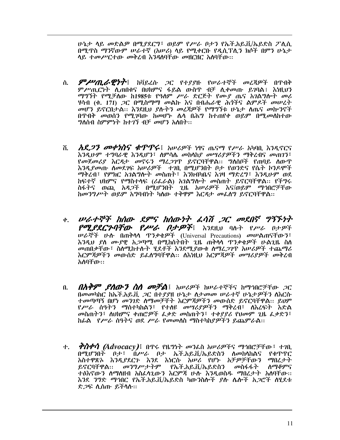ሁኔታ ላይ መድልዎ በሚያደርግ፣ ወይም የሥራ ቦታን የኤች.አይ.ቪ/ኤይድስ ፖሊሲ በሚጥስ ማንኛውም ሠራተኛ (አሠሪ) ላይ የሚቀርቡ የዲሲፕሊን ክሶች በምን ሁኔታ ላይ ተመሥርተው መቅረብ እንዳለባቸው መዘርዘር አለባቸው፡፡

- **ምሥጢራዊነት**፤ ከቫይረሱ *ጋ*ር የተያያዙ የሠራተኞች መረጃዎች በጥበቅ ለ. ምሥጢርነት ሲጠበቁና በሀክምና ፋይል ውስጥ ብቻ ሲቀመጡ ይገባል፤ እነዚህን ማግኘት የሚቻለው ከ1985ቱ የዓለም ሥራ ድርጅት የሙያ ጤና አንልግሎት መሪ ሃሳብ (ቁ. 171) *ጋ*ር በሚስማማ መልኩ እና በብሔራዊ ሕጎችና ልምዶች መሠረት መሆን ይኖርበታል፡፡ እንደዚህ ያሉትን መረጃዎች የማግኘቱ ሁኔታ ስጤና መኵንኖች በዋብቅ መወሰን የሚገባው ከመሆኑ ሴሳ በሕግ ከተጠየቀ ወይም በሚመለከተው *ግ*ለሰብ ስምምነት ከተ*ገ*ኘ ብቻ *መ*ሆን አለበት፡፡
- *አደ<i>ጋን መቀነስና ቁጥጥሩ*፤ አሠሪዎች ነፃና ጤናማ የሥራ አካባቢ እንዲኖርና ሽ. እንዲሁም ተግባራዊ እንዲሆን፣ ስምሳሌ መከሳከያ መሣሪያዎችን ማቅረብና መጠንን፣ የመጀመሪያ እርዳታ መኖሩን ማረ*ጋገ*ጥ ይኖርባቸዋል። ግለሰቦች የጠባይ ስውጥ እንዲያመጡ ስመደገፍ አሠሪዎች ተገቢ በሚሆንበት ቦታ የወንድና የሴት ኮንዶሞች ማቅረብ፣ የምክር አንልግሎት መስጠት፣ እንክብካቤና እንዛ ማድረግ፣ እንዲሁም ወደ ከፍተኛ ህክምና የማስተላፍ (ሪፌራል) አገልግሎት መስጠት ይኖርባቸዋል። የችግሩ ስፋትና ወጪ አዳ*ጋ*ች በሚሆንበት ጊዜ አሥሪ*ዎች* እና/ወይም ማኅበሮቻቸው ከመንግሥት ወይም አግባብነት ካስው ተቅዋም እርዳታ መፌስግ ይኖርባቸዋል፡፡
- <u>ቀ. ሠራተኞች ከሰው ደምና ከሰውነት ፌሳሽ ጋር መደበኛ ግኝኙነት</u> *POLERCENTO PPU በታዎች* እንደዚህ ባሉት የሥራ በታዎች ሠራኞች ሁስ በጠቅሳሳ ዋንቃቄዎች (Universal Precautions) መሠልጠናቸውን፣ እንዲህ ያለ ሙያዊ አ*ጋ*ጣሚ በሚከሰተበት ጊዜ ጠቅሳሳ ዋንቃቁዎች ሁልጊዜ ስለ መጠበቃቸው ፣ ስለሚከተሉት ሂደቶች እንደሚያውቁ ለማረ*ጋገ*ጥ አሠራዎች ተጨማሪ እርምጃዎችን መውሰድ ይፌስግባቸዋል፡፡ ስእነዚህ እርምጃዎች መሣሪያዎች መቅረብ አለባቸው።
- *በአቅም ያስውን ስስ መቻል*፤ አሠሪዎች ከሠራተኞችና ከማኅበሮቻቸው *ጋ*ር  $\mathbf{u}$ በመመካከር ከኤች.አይ.ቪ .2C በተያያዘ ሁኔታ ለታመመ ሠራተኛ ሁኔታዎችን ስእርሱ ተመጣጣኝ በሆነ መንገድ ስማመቻቸት እርምጃዎችን መውሰድ ይኖርባቸዋል፡፡ ይህም *የሥራ* ሰዓተን ማስተካከልን፣ የተሰዩ *መግሪያዎችን* ማቅረብ፣ ስእረፍት እድል መስጠትን፣ ስህክምና ቀጠሮዎች ፌቃድ መስጠትን፣ ተቀያያሪ የህመም ጊዜ ፌቃድን፣ ከፊል የሥራ ሰዓትና ወደ ሥራ የመመስስ ማስተካከያዎችን ይጨምራል።
- *ቅስቀሳ (Advocacy)*፤ በጥሩ የዜግነት መንፈስ አሠሪዎችና ማኅበሮቻቸው፤ ተ*ገ*ቢ 小。 በማሆንበት በታ፣ በሥራ በታ ኤች.አይ.ቨ/ኤይድስን ለመከላከልና የቁጥጥር አስተዋጽኦ እንዲያደርጉ እንደ እነርሱ አሠሪ የሆኑ አቻዎቻቸውን ማበረታት ይኖርባቸዋል፡፡ መንግሥታትም የኤች.አይ.ቪ/ኤይድስን መስፋፋት ስማቆምና ተፅእኖውን ስማስዘብ አስፈላጊውን እርምጃ ሁሉ እንዲወስዱ ማበረታት አስባቸው፡፡ እንደ ንግድ ማኅበር የኤች.አይ.ቨ/ኡይድስ ካውንስሎች የሉ ሌሎች አጋሮች ለሃደቱ ድ*ጋ*ፍ ሊሰጡ ይችሳስ።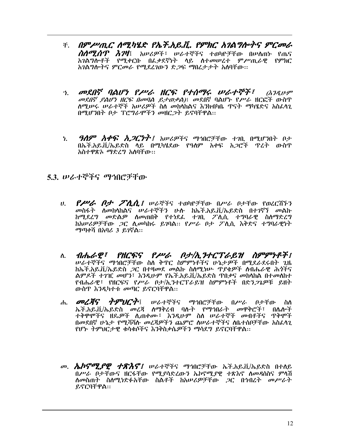- ች. በምሥጢር ሰሚካሄድ የኤ*ች.አይ.ቪ. የምክር አገልግሎትና ምርመራ ስለሚሰጥ እገዛ*፤ አሠሪዎች፣ ሠራተኞችና ተወካዮቻቸው በሠለጠ<u>ኑ የ</u>ጤና አገልግሎቶች የሚቀርቡ በፌቃደኛነት ላይ ስተመሠረተ ምሥጢራዊ የምክር አገልግሎትና ምርመራ የሚደረገውን ድ*ጋ*ፍ ማበረታታት አስባቸው።
- <u>ን. መደበኛ ባልሆነ የሥራ ዘርፍ የተሰማሩ ሠራተኞች፣</u> *(እንዲሁም መደበኛ ያልሆነ ዘርፍ በመባል ይታወቃል)*፤ መደበኛ ባልሆኑ የሥራ ዘርፎች ውስዋ ለሚሥሩ ሥራተኞች አሥ*ሪዎች* ስለ መከላከልና እ*ን*ክብካቤ ጥናት ማካሄድና አስ**ራ**ላጊ በሚሆንበት ቦታ ፕሮግራሞችን መዘር*ጋ*ት ይኖባቸዋል፡፡
- $9$ ሰዎ አቀፍ አ*ጋርነት፤* አሠሪዎችና ማኅበሮቻቸው ተገቢ በሚሆንበት ቦታ  $\mathbf{h}$ በኡች.አይ.ቪ/ኡይድስ ላይ በሚካሄደው የዓለም አቀፍ አ*ጋ*ሮች ጥረት ውስጥ አስተዋጽኦ ማድረግ አለባቸው።

#### 5.3. ሠራተኞችና ማኅበሮቻቸው

- $P$ *PUG*  $P$ *J*  $P$ *AA I werres robritto apub offo rolents*  $\boldsymbol{\theta}$ . መስፋት ስመከሳከልና ሠራተኞችን ሁሱ ከኤች.አይ.ቪ/ኤይድስ በተገኛኘ መልኩ ከሚደረግ መድልዎ ስመጠበቅ የተነደፌ ተገቢ ፖሲሲ ተግባራዊ ስስማድረግ ከአሠሪዎቻቸው *ጋ*ር ሊመካከሩ ይገባል። የሥራ ቦታ ፖሊሲ እቅድና ተግባራዊነት *ማ*ጣቀሻ በአባሪ 3 ይ*ገ*ኛል::
- ብሔራዊ፣ የዘርፍና የሥራ ቦታ/ኢንተርፕራይዝ ስምምነቶች፣ ለ. *ሠራተኞችና ማኅ*በሮቻቸው ስለ ቅጥር ስምምነቶችና ሁኔታ*ዎች* በሚደራደሩበት ጊዜ ከኤች.አይ.ቪ/ኤይድስ *ጋ*ር በተዛመደ መልኩ ስስሚነሡ ጥያቄዎች ስብሔራዊ ሕጎችና ልምዶች ተንዢ መሆን፣ እንዲሁም የኡች.አይ.ቪ/ኡይድስ ዋበቃና መከሳከል በተመስከተ የብሔራዊ፣ የዘርፍና የሥራ ቦታ/ኢንተርፕራይዝ ስምምነቶች በድን*ጋጌዎ*ቹ ይዘት ውስጥ እንዲካተቱ መጣር ይኖርባቸዋል::
- ሐ. **መረጃና** *ትምህርት***፡** ሠራተኞችና ማኅበሮቻቸው በሥራ ቦታቸው ስለ ኤች.አይ.ቪ/ኤይድስ መረጃ ሰማቅረብ ባሱት የማኅበራት መዋቅሮች፣ በሴሎች ተቅዋሞችና ዘዴ*ዎች* ሲጠቀሙ፣ እንዲሁም ስለ ሠራተኞች መብቶችና ዋቅሞች በመደበኛ ሁኔታ የሚሻሻሉ መረጃዎችን ጨምሮ ስሥራተኞችና ስቤተሰቦቻቸው አስፈሳን የሆኑ ትምህርታዊ ቁሳቁሶችና እንቅስቃሴዎችን ማሳደግ ይኖርባቸዋል፡፡
- በሥራ ቦታቸውና ዘርፋቸው የሚያሳድረውን ኤኮኖሚያዊ ተጽእኖ ስመዳስስና ምሳሽ ለመስጠት ስለሚነድፉአቸው ስልቶች ከአሠሪዎቻቸው *ጋ*ር በኅብረት መሥራት ይኖርባቸዋል።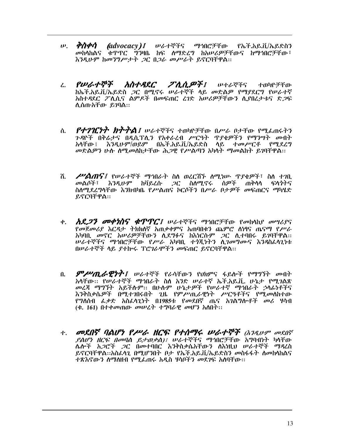- *ቅስቀሳ (advocacy)፤ ሠ*ራተኞችና ማኅበሮቻቸው የኡች.አይ.ቪ/ኤይድስን<br>*መ*ከላከልና ቁጥጥር ግንዛቤ ከፍ ለማድረግ ከአሠሪዎቻቸውና ከማኅበሮቻቸው፣  $\boldsymbol{\psi}$ . እንዲሁም ከመንግሥታት ጋር በጋራ መሥራት ይኖርባቸዋል::
- የሠራተኞች አስተዳደር ፖሊሲዎች፤  $\mathcal{L}$ ሥተራኞችና ተወካዮቻቸው ከኤች.አይ.ቪ/ኤይድስ ጋር በሚኖሩ ሠራተኞች ላይ መድልዎ የማያደርግ የሠራተኛ አስተዳደር ፖሊሲና ልምዶች በመፍጠር ረገድ አሠሪዎቻቸውን ሲያበረታቱና ድጋፍ ሊሰጡአቸው ይገባል።
- ስ. ንዳዮች በቅሬታና በዲሲፕሲን የአቀራረብ ሥርዓት ጥያቄዎችን የማንሣት መብት አሳቸው፤ እንዲሁም/ወይም በኤች.አይ.ቪ/ኤይድስ ሳይ ተመሥርቶ የሚደረግ መድልዎን ሁሉ ስሚመስከታቸው ሕጋዊ የሥልጣን አካላት ማመልከት ይገባቸዋል፡፡
- $\ell^{\nu}$ ልጠና፤ የሠራተኞች ማኅበራት ስለ ወረርሽኙ ለሚነሡ ጥያቄዎች፣ ስለ ተገቢ ሽ. *መ*ልሶች፣ እ*ንዲሁም ከቫይረ*ሱ *ጋ*ር ስለሚኖሩ ሰዎች ጠቅሳሳ ፍሳንትና ስለሚደረግላቸው እንክብካቤ የሥልጠና ኮርሶችን በሥራ ቦታዎች መፍጠርና ማካሄድ ይኖርባቸዋል::
- *አደጋን መቀነስና ቁጥጥር፤ ሠ*ራተኞችና ማኅበሮቻቸው የመከላከያ መሣሪያና  $\phi$ . የመጀመሪያ እርዳታ ትክክለኛ አጠቃቀምና አጠባበቁን ጨምሮ ለነፃና ጤናማ የሥራ አካባቢ *መ*ኖር *አሠሪዎቻቸ*ውን ሲደግፉና ከእነርሱም *ጋ*ር ሲተባበሩ ይገባቸዋል፡፡<br>*ሠ*ራተኞችና ማኅበሮቻቸው የ*ሥራ* አካባቢ ተ*ጎኚነትን ሲገመግ*ሙና እንዳስፈላጊነቱ በሥራተኞች ላይ ያተኰሩ ፕሮገራሞችን መፍጠር ይኖርባቸዋል።
- በ. *ምሥጢራዊነት፤ ሠራተኞች የራ***ሳቸውን የህክምና ፋይሎች የማ**ግኘት መብት አላቸው፡፡ የሠራተኞች ማኅበራት ስለ አንድ ሠራተኛ ኤች.አይ.ቪ. ሁኔታ የሚገልጽ መረጃ ማግኘት አይችሉም፡፡ በሁሉም ሁኔታዎች የሠራተኛ ማኅበራት ኃላፊነቶችና እንቅስቃሴዎች በሚተንበሩበት ጊዜ የምሥጢራዊነት ሥርዓቶችና የሚመለከተው የግለሰብ ፌቃድ አስፌሳጊነት በ1985ቱ የመደበኛ ጤና አገልግሎቶች መሪ ሃሳብ (ቁ. 161) በተቀመጠው መሠረት ተግባራዊ መሆን አለበት::
- ተ. መደበኛ ባልሆነ የሥራ ዘርፍ የተሰማሩ ሠራተኞች (እንዲሁም መደበኛ ሌሎች አ*ጋ*ሮች *ጋ*ር በመተባበር እንቅስቃሴአቸውን ለእነዚህ ሠራተኞች ማዳረስ ይኖርባቸዋል።አስራሳጊ በሚሆንበት ቦታ የኤች.አይ.ቪ/ኤይድስን መስፋፋት ስመከሳከልና ተጽእኖውን ስማስዘብ የሚፌጠሩ አዲስ ሃሳቦችን መደንፍ አስባቸው፡፡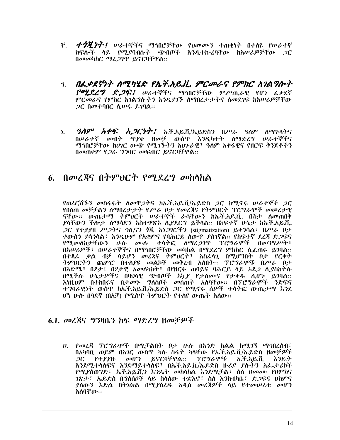- ች. *ተጎጂነት፤ ው*ራተኞችና ማኅበሮቻቸው የህመሙን ተጠቂነት በተለዩ የሠራተኛ ክፍሎች ላይ የሚያባብሱት ጭብጦች እንዲተኰረባቸው ከአሠሪዎቻቸው *ጋ*ር በመመካከር ማፈ*ጋገ*ጥ ይኖርባቸዋል::
- <u>ኀ. በፌቃደኛነት ስሚካሄድ የኤች.አይ.ቪ. ምርመራና የምክር አገልግሎት</u> *የሚደረግ ድጋፍ፤ ሠ*ራተኞችና ማኅበሮቻቸው ምሥጢራዊ የሆነ ፌቃደኛ ምርመራና የምክር አገልግሎትን እንዲያገኙ ስማበረታታትና ስመደገፍ ከአሠሪዎቻቸው *ጋር በመተባበር ሲሡሩ ይገባል*።
- *ዓለም አቀፍ አጋርነት፤ ኤ*ች.አይ.ቪ/ኤይድስን በ*ሥራ ዓ*ለም ለማጉሳትና ነ. በሠራተኛ መብት ዋያቄ ዘመቻ ውስዋ እንዲካተት ስማድረግ ሠራተኞችና *ማኅ*በሮቻቸው ከሀ*ገ*ር ውጭ የሚ*ገኙትን* አህንራዊ፤ ዓለም አቀፋዊና የዘርፍ ቅንጅቶችን በመጠቀም የ*ጋራ ግን*ባር መፍጠር ይኖርባቸዋል::

#### 6. በ*መ*ረጀና በትምህርት የሚደረግ መከላከል

የወረርሽኙን መስፋፋት ስመዋ*ጋ*ትና ከኤች.አይ.ቨ./ኤይድስ *ጋ*ር ከሚኖሩ ሠራተኞች *ጋ*ር የበሰጠ መቻቻልን ስማበረታታት የሥራ ቦታ የመረጃና የትምህርት ፕሮግራሞች መሠረታዊ ናቸው፡፡ ውጤታማ ትምህርት ሠራተኞች ራሳቸውን ከኤች.አይ.ቪ. በሽታ ለመጠበቅ ያላቸውን ችሎታ ለማሳደግ አስተዋጽኦ ሲያደርግ ይችሳል። በከፍተኛ ሁኔታ ከኤች.አይ.ቪ. ጋር የተደያዘ ሥጋትና ኃሊናን ጎጂ አነጋገሮችን (stigmatization) ይቀንሳል፤ በሥራ ቦታ ቀውስን ያሳንሳል፣ እንዲሁም የአቋምና የባሕርይ ስውጥ ያስገኛል። የከፍተኛ ደረጃ ድ*ጋ*ፍና የሚመስከታቸውን ሁስ ሙስ ተሳትፎ ስማፈጋገዋ ፕሮግራሞች በመንግሥት፣ በአሠሪዎች፣ በሠራተኞችና በማኅበሮቻቸው መካከል በሚደረግ ምክክር ሲፌጠሩ ይገባል፡፡ በተጻፌ ቃል ብቻ ሳይሆን መረጃና ትምህርት፣ አስፌሳጊ በሚሆንበት ቦታ የርቀት ትምህርትን ጨምሮ በተለያዩ መልኮች መቅረብ አለበት፡፡ ፕሮግራሞቹ በሥራ ቦታ በእድሜ፣ በፆታ፤ በፆታዊ አመለካከት፣ በየዘርፉ ጠባይና ባሕርይ ላይ አደጋ ሊያስከትሉ በሚችሉ ሁኔታዎችና በባህላዊ ጭብጦች አኳ*ያ የታለ*ሙና የታቀዱ ሲሆኑ ይገባል።<br>እነዚህም በተከበሩና በታመት ግለሰቦች መስጠት አለባቸው። በፐሮግራሞች ንድፍና ተግባራዊነት ውስዋ ከኤች.አይ.ቪ/ኤይድስ *ጋ*ር የሚኖሩ ሰዎች ተሳትፎ ውጤታማ እንደ ሆነ ሁስ በ3ደኛ (በአቻ) የሚሰጥ ትምህርት የተሰየ ውጤት አስው።

#### 6.1. መረጃና ግንዛቤን ከፍ ማድረግ ዘመቻዎች

ሀ. የመረጃ ፕሮግራሞች በሚቻልበት ቦታ ሁሉ በአንድ ክልል ከሚገኝ ማኅበረሰብ፣ በአካባቢ ወይም በአገር ውስጥ ካሉ ስፋት ካሳቸው የኤች.አይ.ቪ/ኤይድስ ዘመቻዎች ይኖርባቸዋል፡፡ ፐሮግራሞቹ  $2C$ *የተያያ*ዙ *መሆን* ኤች.አይ.ቪ እንዴት እንደሚተሳለፍና እንደማይተሳለፍ፣ በኤች.አይ.ቪ/ኤይድስ ዙሪያ ያሉተን አፌ-ታሪኮች የሚያስወግድ፣ ኤች.አይ.ቪን እንዴት መከላከል እንደሚቻል፣ ስለ ሀመሙ የህምክና *ገ*ጽታ፣ ኤይድስ በግለሰቦች ላይ ስላለው ተጽእኖ፣ ስለ እ*ን*ክብካቤ፣ ድ*ጋ*ፍና **ህክም**ና ያሰውን እድል በትክክል በሚያስረዱ አዲስ መረጃዎች ላይ የተመሠረቱ መሆን አለባቸው።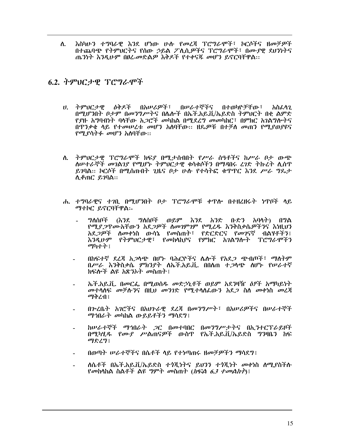እስካሁን ተግባራዊ እንደ ሆነው ሁሉ የመረጃ ፕሮግራሞች፣ ኮርሶችና ዘመቻዎች ስ. በተጨባጭ የትምህርትና የሰው ኃይል ፖሊሲዎችና ፕሮግራሞች፣ በሙያዊ ደህንነትና ጤንነት እንዲሁም በፀረ-መድልዎ እቅዶች የተቀናጁ መሆን ይኖርባቸዋል::

#### 6.2. ትምህርታዊ ፕሮግራሞች

- ሀ. ትምህርታዊ ለቅዶች በአሠሪዎች፣ በሥራተኞችና በተወካዮቻቸው ፣ አስፈላን በሚሆንበት ቦታም በመንግሥትና በሌሎች በኤች.አይ.ቪ/ኤይድስ ትምህርት በቂ ልምድ <u>የደዙ አግባብነት ባላቸው አ*ጋ*ሮች መካከል በሚደረግ መመካከር፤ በምክር አገልግሎ</u>ትና በዋንቃቄ ላይ የተመሠረቱ መሆን አለባቸው፡፡ ዘዴዎቹ በተቻለ መጠን የሚያወያዩና የሚያሳትፉ መሆን አስባቸው።
- ለ. ትምህርታዊ ፕሮግራሞች ክፍደ በሚታሰብበት የሥራ ሰዓቶችና ከሥራ ቦታ ውጭ ለሠተራኞች መገልገያ የሚሆኑ ትምህርታዊ ቁሳቁሶችን በማዳበሩ ረገድ ትኩረት ሲሰዋ ይንባል፡፡ ኮርሶች በሚሰጡበት ጊዜና ቦታ ሁሉ የተሳትፎ ቁጥጥር እንደ ሥራ ግዴታ ሊቆጠር ይገባል::
- ሐ. ተግባራዊና ተንቢ በሚሆንበት ቦታ ፕሮግራሞቹ ቀጥሎ በተዘረዘሩት ነጥቦች ላይ ማተኮር ይኖርባቸዋል:-
	- ግለሰቦች (እንደ ግለሰቦች ወይም እንደ አንድ ቡድን አባላት) በግል የሚያ ጋዋሙአቸውን አደጋዎች ስመገምገም የሚፈዱ እንቅስቃሴዎችንና እነዚህን አደጋዎች ስመቀነስ ውሳኔ የመስጠት፣ የድርድርና የመገናኛ ብልሃቶችን፣ እንዲሁም የትምህርታዊ፣ የመከላከያና የምክር አገልግሎት ፕሮግራሞችን ማካተት  $\mathbf{i}$
	- በከፍተኛ ደረጃ አ*ጋ*ሳጭ በሆኑ ባሕርዮችና ሌሎች የአደ*ጋ ጭ*ብጦች፣ ማስትም በሥራ እንቅስቃሴ ምክንያት ለኤች.አይ.ቪ. በበለጠ ተ*ጋ*ላጭ ለሆኑ የሠራተኛ ክፍሎች ልዩ አጽንኦት መስጠት !
	- ኤች.አይ.ቪ. በመርፌ በሚወሰዱ መድኃኒቶች ወይም አደንዛዥ ዕፆች አማካይነት መተሳሰፍ መቻሱንና በዚህ መንገድ የሚተሳሰፌውን አደጋ ስስ መቀነስ መረጃ ማቅረብ፤
	- በሥሬቤት አገሮችና በአህጕራዊ ደረጃ በመንግሥት፣ በአሠሪዎችና በሠራተኞች *ማኅ*በራት መካከል ውይይቶችን ማሳደግ፤
	- ከሠራተኞች ማኅበራት ጋር በመተባበር በመንግሥታትና በኢንተርፕራይዞች በሚካሂዱ የሙያ ሥልጠናዎች ውስጥ የኤች.አይ.ቪ/ኤይድስ ግንዛቤን ከፍ ማድረግ፤
	- በወጣት ሥራተኞችና በሴቶች ላይ የተነጣጠሩ ዘመቻዎችን ማሳደግ፤
	- ለሴቶች በኤች.አይ.ቪ/ኤይድስ ተንጂነትና ይህንን ተንጂነት መቀነስ ለሚያስችሉ የመከሳከል ስልቶች ልዩ ግምት መስጠት (*ክፍል 6.3 ተመልከተ*) !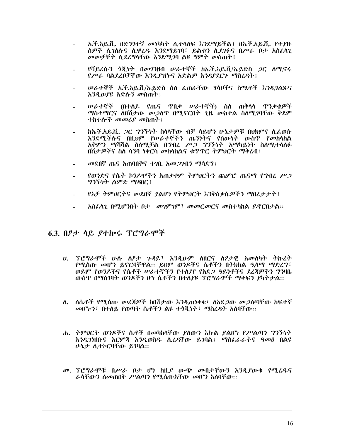- ኤች.አይ.ቪ. በድንንተኛ መነካካት ሊተላለፍ እንደማይችል፤ በኤች.አይ.ቪ. የተያዙ ሰዎች ሲገለሱና ሲዋሪዱ እንደማይገባ፣ ይልቁን ሲደገፉና በሥራ ቦታ አስፈላጊ መመቻቸት ሲደረግላቸው እንደሚገባ ልዩ ግምት መስጠት !
- *የቫይረሱን ጎጂነት በመገን*ዘብ ሥራተኞች ከኤች.አይ.ቪ/ኤይድስ *ጋ*ር ሰሚኖሩ የሥራ ባልደረቦቻቸው እንዲያዝኮና አድልዎ እንዳያደርጉ ማስረዳት !
- ሥራተኞች ኤች.አይ.ቪ/ኤይድስ ስለ ፌጠራቸው ሃሳቦችና ስሜቶች እንዲገልጹና እንዲወያዩ እድሱን መስጠት !
- *ሠራተ*ኞች (በተለይ የጤና ዋበ*ቃ ሠራተ*ኞች) ስለ ጠቅላላ ዋንቃቄ*ዎ*ች ማስተማርና ስበሽታው መ*ጋ*ሰጥ በሚኖርበት ጊዜ መከተል ስስሚገባቸው ቅደም ተከተሎች መመሪያ መስጠት ፡
- ከኤች.አይ.ቪ. *ጋ*ር ግንኙነት ስላላቸው ብቻ ሳይሆን ሁኔታዎቹ በህክምና ሲፌወሱ እንደሚችሉና በዚህም የሠራተኞችን ጤንነትና የሰውነት ውስጥ የመከላከል አቅምን ማሻሻል ስለሚቻል በግብረ ሥጋ ግንኙነት አማካይነት ስለሚተላለፉ በሽታዎችና ስለ ሳንባ ነቀርሳ መከላከልና ቁጥጥር ትምህርት ማቅረብ፤
- መደበኛ ጤና አጠባበቅና ተገቢ አመ*ጋገ*ብን ማሳደግ፤
- የወንድና የሴት ኮንዶሞችን አጠቃቀም ትምህርትን ጨምሮ ጤናማ የግብረ ሥ*ጋ ግንኙነት* ልምድ ማዳበር፣
- የአቻ ትምህርትና መደበኛ ያልሆነ የትምህርት እንቅስቃሴዎችን ማበረታታት፤
- አስፌሳጊ በሚሆንበት ቦታ መገምገም፣ መመርመርና መስተካከል ይኖርበታል፡፡

#### 6.3. በፆታ ሳይ ያተኰሩ ፕሮግራሞች

- ሀ. ፐሮግራሞች ሁሉ ስፆታ ጉዳይ፣ እንዲሁም ስዘርና ስፆታዊ አመስካት ትኩረት የሚሰጡ መሆን ይኖርባቸዋል። ይህም ወንዶችና ሴቶችን በትክክል ዒላማ ማድረግ፣ ወይም የወንዶችና የሴቶች ሥራተኞችን የተለያየ የአደ*ጋ ዓ*ይነቶችና ደረጃዎችን ግንዛቤ ውስጥ በማስገባት ወንዶችን ሆነ ሴቶችን በተለያዩ ፕሮግራሞች ማቀፍን ያካትታል፡፡
- ለ. ለሴቶች የሚሰጡ መረጃዎች ከበሽታው እንዲጠነቀቁ፣ ለአደ*ጋ*ው መ*ጋ*ለጣቸው ከፍተኛ መሆኑን፣ በተለይ የወጣት ሴቶችን ልዩ ተጎጂነት፣ ማስረዳት አለባቸው፡፡
- ሐ. ትምህርት ወንዶችና ሴቶች በመካከሳቸው ያለውን እኩል ያልሆነ የሥልጣን ግንኙነት እንዲገነዘቡና እርምጃ እንዲወስዱ ሲረዳቸው ይገባል፤ ማስፌራራትና ዓመፅ በልዩ ሁኔታ ሲተኮርባቸው ይገባል።
- መ. ፐሮግራሞቹ በሥራ ቦታ ሆነ ከዚያ ውጭ መብታቸውን እንዲያውቁ የሚሬዱና ራሳቸውን ስመጠበቅ ሥልጣን የሚሰጡአቸው መሆን አስባቸው፡፡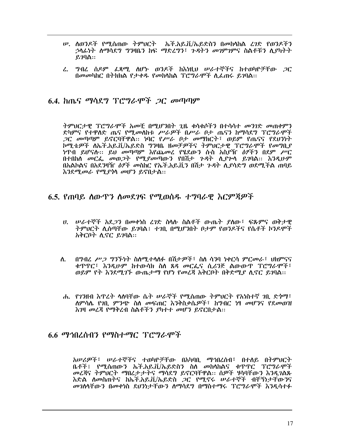- ሥ. ለወንዶች የሚሰጠው ትምህርት ኤች.አይ.ቨ./ኤይድስን በመከሳከል ረንድ የወንዶችን *ኃ*ላፊነት ስማሳደግ ግንዛቤን ከፍ ማድረግን፣ *ጉዳትን መገ*ምገምና ስልቶቹን ሲያካትት  $870$ ል::
- <u>ፈ. ግብረ ሰዶም ፈጻሚ ሰሆኑ ወንዶች ከእነዚህ ሠራተኞችና ከተወካዮቻቸው *ጋ*ር</u> በመመካከር በትክክል የታቀዱ የመከላከል ፕሮግራሞች ሲፌጠሩ ይገባል::

#### 6.4. ከጤና ማሳደግ ፕሮግራሞች *ጋር መ*ጣጣም

ትምህርታዊ ፕሮግራሞች አመቺ በሚሆንበት ጊዜ ቁሳቁሶችን በተሳሳተ መንገድ መጠቀምን ድካምና የተዋለድ ጤና የሚመለከቱ ሥራዎች በሥራ ቦታ ጤናን ከማሳደግ ፕሮግራሞች *ጋ*ር መጣጣም ይኖርባቸዋል። ነባር የሥራ ቦታ መማክርት፣ ወይም የጤናና የደህንነት ኮሚቴዎች ለኤች.አይ.ቪ/ኤይድስ ግንዛቤ ዘመቻዎችና ትምህርታዊ ፕሮግራሞች የመግቢያ ነዋብ ይሆናስ፡፡ ይህ መጣጣም እየጨመረ የሄደውን ሱስ አስያዥ *ዕፃችን* በደም ሥር በተበከሰ መርፌ መወ*ጋት የሚያመ*ጣውን የበሽታ ጉዳት ሲ*ያጉ*ሳ ይገባል፡፡ *አንዳ*ሁም በአልኮልና በአደንዛዥ *ዕፃች መ*ስከር የኤች.አይ.ቪን በሽታ *ጉዳ*ት ሊያሳድግ ወደሚችል ጠባይ እንደሚመራ የሚያሳሳ መሆን ይኖበታል።

#### 6.5. የጠባይ ሰውዋን ሰመደገፍ የሚወሰዱ ተግባራዊ እርምጀዎች

- ሀ. ሠራተኞች አደ*ጋ*ን በመቀነስ ረገድ ስላሱ ስልቶች ውጤት ያለው፣ ፍጹምና ወቅታዊ ትምህርት ሊሰጣቸው ይገባል፤ ተገቢ በሚሆንበት ቦታም የወንዶችና የሴቶች ኮንዶሞች አቅርቦት ሲኖር ይገባል።
- በግብሬ ሥ*ጋ ግኘኙነት* ስለሚተላለፉ በሽታ*ዎች*፣ ስለ ሳንባ ነቀርሳ ምር*መ*ራ፣ ህክምናና ለ. ቁጥጥር፣ እንዲሁም ከተውሳክ ስስ ጸዳ መርፌና ሲሪንጅ ልውውጥ ፐሮግራሞች፣ ወይም የት እንደሚገኙ ውጤታማ የሆነ የመረጃ አቅርቦት በቅድሚያ ሲኖር ይገባል።
- ሐ. የንንዘብ እዋረት ሳለባቸው ሴት ሠራኞች የሚሰጠው ትምህርት የአነስተኛ ንቢ ድንማ፣ ለምሳሌ የ*ገ*ቢ *ምንጭ* ስለ *መ*ፍጠር እንቅስቃሴ*ዎች*፣ ከግብር ነፃ *መ*ሆንና የደ*መ*ወዝ እንዛ መረጃ የማቅረብ ስልቶችን ያካተተ መሆን ይኖርበታል፡፡

#### 6.6 ማኅበረሰብን የማስተማር ፕሮግራሞች

አሠሪዎች፣ ሠራተኞችና ተወካዮቻቸው በአካባቢ ማኅበረሰብ፣ በተለይ በትምህርት ቤቶች፤ የሚሰጠውን ኤች.አይ.ቪ/ኤይድስን ስለ መከሳከልና ቁጥጥር ፐሮግራሞች መረጃና ትምህርት ማበረታታትና ማሳደግ ይኖርባቸዋል፡፡ ሰዎች ሃሳባቸውን እንዲገልጹ እድል ለመስጠትና ከኡች.አይ.ቪ/ኡይድስ *ጋ*ር የሚኖሩ ሠራተኞች ብቸኝነታቸውንና መንስሳቸውን በመቀነስ ደህንነታቸውን ስማሳደግ በማስተማሩ ፕሮግራሞች እንዲሳተፉ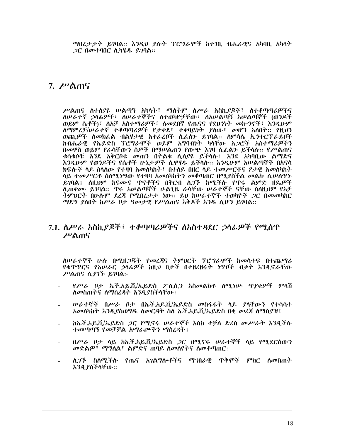*ማ*በረታታት ይገባል፡፡ እንዲህ ያሉት ፕሮግራሞች ከተገቢ ብሔራዊና አካባቢ አካላት *ጋር በመተባበር ሲካሄዱ ይገ*ባል።

#### 7.  $\mu$   $\land$   $\eta$

ሥልጠና ስተሰያዩ ሠልጣኝ አካሳት፣ ማስትም ስሥራ አስኪያጆች፣ ስተቆጣጣሪዎችና ስሥራተኛ ኃላፊዎቸ፣ ስሥራተኞችና ስተወካዮቻቸው፣ ስአሠልጣኝ አሠልጣኞች (ወንዶች ወይም ሴቶች)፣ ለአቻ አስተማሪዎች፣ ለመደበኛ የጤናና የደህንነት መኰንኖች፣ እንዲሁም ለማምረቻ/ሠራተኛ ተቆጣጣሪዎች የታቀደ፣ ተቀባይነት ያለው፣ መሆን አለበት፡፡ የዚህን ከብሔራዊ የኤይድስ ፕሮግራሞች ወይም አግባብነት ካላቸው አጋሮች አስተማሪዎችን በመዋስ ወይም የራሳቸውን ስዎች በማሠልጠን የውጭ እንዛ ሊፌልን ይችላሉ። የሥልጠና ቁሳቁሶቹ እንደ አቅርቦቱ መጠን በትልቁ ሊሰያዩ ይችሳሉ፤ እንደ አካባቢው ልማድና እንዲሁም የወንዶችና የሴቶች ሁኔታ*ዎ*ች ሊዋሃዱ ይችላሉ። እንዲሁም አሠልጣኞች በአናሳ ክፍሎች ላይ ስላለው የተዛባ አመለካከት፣ በተለይ በዘር ላይ ተመሥርቶና ፆታዊ አመለካከት ላይ ተመሥርቶ ስስሚነሣው የተዛባ አመስካከትን መቆጣጠር በሚያስችል መልኩ ሲሠስዋኑ ይገባል፤ ስዚህም ከናሙና ጥናቶችና በቅርብ ሲገኙ ከሚችሉ የጥሩ ልምድ ዘዴ*ዎች* ሊጠቀሙ ይገባል፡፡ ጥሩ አሠልጣኞች ሁልጊዜ ራሳቸው ሠራተኞች ናቸው ስስዚህም የአቻ ትምህርት በሁሉም ደረጃ የሚበረታታ ነው። ይህ ከሠራተኞች ተወካዮች *ጋ*ር በመመካከር ማደግ ያስበት ከሥራ ቦታ ዓመታዊ የሥልጠና እቅዶች አንዱ ሲሆን ይገባል።

#### 7.1. ስሥራ አስኪያጆች፣ ተቆጣጣሪዎችና ስአስተዳደር ኃሳፊዎች የሚሰጥ ሥልጠና

ስሥራተኞች ሁሉ በሚዘጋጁት የመረጃና ትምህርት ፕሮግራሞች ከመሳተፍ በተጨማሪ የቁጥጥርና የአሠራር ኃላፊዎች ከዚህ በታች በተዘረዘሩት ነጥቦች ብቃት እንዲኖራቸው ሥልጠና ሲያገኙ ይገባል፡-

- የሥራ ቦታ ኤች.አይ.ቪ/ኤይድስ ፖሊሲን አስመልክቶ ሰሚነሥ ዋያቄዎች ምሳሽ ለመስጠትና ለማሰረዳት እንዲያስችላቸው ፡
- ሥራተኞች በሥራ ቦታ በኡች.አይ.ቪ/ኡይድስ መስፋፋት ላይ ያሳቸውን የተሳሳተ አመስካከት እንዲያስወግዱ ስመርዳት ስለ ኤች.አይ.ቪ/ኤይድስ በቂ መረጃ ስማስደዝ፤
- ከኤች.አይ.ቪ/ኤይድስ *ጋ*ር የሚኖሩ ሠራተኞች እስከ ተቻለ ድረስ መሥራት እንዲችሉ ተመጣጣኝ የመቻቻል አማራጮችን ማስረዳት !
- በሥራ ቦታ ሳይ ከኤች.አይ.ቪ/ኤይድስ *ጋ*ር በሚኖሩ ሠራተኞች ሳይ የሚደርሰውን መድልዎ፣ ማግለል፣ ልምድና ጠባይ ስመሰየትና ስመቆጣጠር፤
- ሊፖች ስለሚችሉ የጤና አገልግሎቶችና ማኅበራዊ ጥቅሞች ምክር ለመስጠት እንዲያስችላቸው፡፡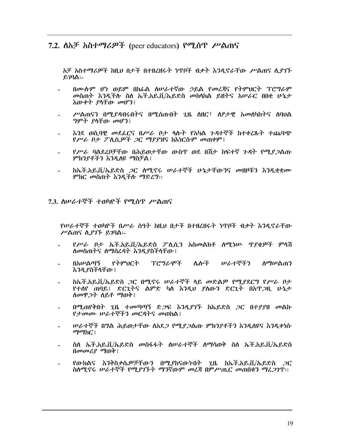#### 7.2.  $\Delta \lambda \neq \lambda \Delta \tau$   $\Delta \theta$   $\rightarrow$  (peer educators)  $\theta$   $\theta \eta \Delta \theta$   $\gamma$   $\lambda \eta \Delta \theta$

አቻ አስተማሪዎች ከዚህ በታች በተዘረዘሩት ነዋቦች ብቃት እንዲኖራቸው ሥልጠና ሲያገኙ  $g_7q_9$ :-

- በሙስም ሆነ ወይም በከፊል ስሠራተኛው ኃይል የመረጃና የትምህርት ፕሮግራም *መ*ስጠት እንዲችሉ ስለ ኤች.አይ.ቪ/ኤይድስ *መ*ከሳከል ይዘትና አሠራር በበቂ ሁኔታ እውቀት ያላቸው መሆን፤
- ሥልጠናን በሚደዳብሩበትና በሚስጡበት ጊዜ ስዘር፣ ስፆታዊ አመስካከትና ስባሀል *ግምት ያ*ሳቸው መሆን፤
- እንደ ወሲባዊ መደፌርና በሥራ ቦታ ሳሱት የአካል ንዳተኞች ከተቀረጹት ተጨባጭ የሥራ ቦታ ፖሊሲዎች *ጋ*ር ማያያዝና ከእነርሱም መጠቀም፤
- *የሥራ* ባልደረቦቻቸው በሕይወታቸው ውስዋ ወደ በሽታ ከፍተኛ *ጉዳ*ት የሚ*ደጋ*ልጡ ምክንያቶችን እንዲለዩ ማስቻል :
- ከኤች.አይ.ቪ/ኤይድስ ጋር ሰሚኖሩ ሠራተኞች ሁኔታቸውንና መዘዞቹን እንዲቋቋሙ ምክር መስጠት እንዲችሉ ማድረግ::
- 7.3. ስሠራተኞች ተወካዮች የሚሰጥ ሥልጠና

የሠራተኞች ተወካዮች በሥራ ሰዓት ከዚህ በታች በተዘረዘሩት ነዋቦች ብቃት እንዲኖራቸው ሥልጠና ሲያገኙ ይገባል፡-

- የሥራ ቦታ ኤች.አይ.ቪ/ኤይድስ ፖሊሲን አስመልክቶ ለሚነሡ ጥያቄዎች ምላሽ ስመስጠትና ስማስረዳት እንዲያስችላቸው ፡
- በአሠልጣኝ የትምፀርት ፕሮግራሞች ሌሎች ሠራተኞችን <u>ለማሠልጠን</u> እንዲያስችላቸው ፡
- ከኤች.አይ.ቪ/ኤይድስ *ጋ*ር በሚኖሩ ሠራተኞች ላይ መድል*ዎ የሚያ*ደርግ የሥራ ቦታ ÷. የተለየ ጠባይ፤ ድርጊትና ልምድ ካለ እንዲህ ያለውን ድርጊት በአዋ*ጋ*ቢ ሁኔታ ስመዋ*ጋ*ት ስይቶ ማወቅ፤
- በሚጠየቅበት ጊዜ ተመጣጣኝ ድ*ጋ*ፍ እ*ንዲያገኙ* ከኤይድስ *ጋ*ር በተያያዘ መልኩ የታመሙ ሠራተኞችን መርዳትና መወከል፤
- ሥራተኞች በ**ግል ሕይወታቸው ለአ**ደ*ጋ የሚያጋ*ልጡ ምክንያቶችን እንዲለዩና እንዲቀነሱ ማማ $hC$ !
- ስስ ኤች.አይ.ቪ/ኤይድስ መስፋፋት ስሥራተኞች ስማሳወቅ ስስ ኤች.አይ.ቪ/ኤይድስ  $(10000 \text{ GeV} \cdot \text{C}^2)(1000 \text{ GeV} \cdot \text{C}^2)$
- የውክልና እንቅስቃሴ*ዎቻቸ*ውን በሚያከናውነበት ጊዜ ከኤች.አይ.ቪ/ኤይድስ *ጋ*ር ስስሚኖሩ ሠራተኞች የሚያገኙት ማንኛውም መረጃ በምሥጢር መጠበቁን ማረጋገጥ፡፡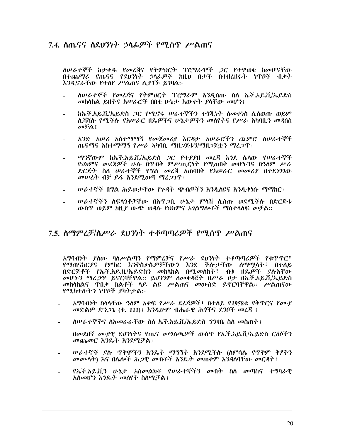#### 7.4. ስጤናና ስደህንነት ኃላፊዎች የሚሰጥ ሥልጠና

ስሥራተኞች ከታቀዱ የመረጃና የትምህርት ፕሮግራሞች ጋር የተዋወቁ ከመሆናቸው በተጨማሪ የጤናና የደህንነት ኃላፊዎች ከዚህ በታች በተዘረዘሩት ነጥቦች ብቃት እንዲኖራቸው የተሰየ ሥልጠና ሲያገኙ ይገባል:-

- ለሠራተኞች የመረጃና የትምህርት ፕሮግራም እንዲሰጡ ስለ ኤች.አይ.ቪ/ኤይድስ መከላከል ይዘትና አሠራሮች በበቂ ሁኔታ እውቀት ያላቸው መሆን፤
- ከኤች.አይ.ቪ/ኤይድስ *ጋ*ር የሚኖሩ ሠራተኞችን ተጎጂነት ስመቀነስ ሲሰወጡ ወይም ለሻሻሉ የማችሉ የአሠራር ዘዴዎችና ሁኔታዎችን መለየትና የሥራ አካባቢን መዳስስ መቻል፤
- አንድ አሠራ አስተማማኝ የመጀመሪያ እርዳታ አሠራሮችን ጨምሮ ስሠራተኞች ጤናማና አስተማማኝ የሥራ አካባቢ ማዘጋጀቱን/ማዘጋጀቷን ማፈጋዋ፤
- ማንኛውም ከኤች.አይ.ቪ/ኤይድስ ጋር የተያያዘ መረጃ እንደ ሴሳው የሠራተኞች የህክምና መረጃዎች ሁሉ በጥበቅ ምሥጢርነት የሚጠበቅ መሆኑንና በዓለም ሥራ ድርጅት ስለ ሠራተኞች የግል መረጃ አጠባበቅ የአሠራር መመሪያ በተደነገገው መሠረት ብቻ ይፋ እንደሚወጣ ማረጋገጥ !
- *ሠራተ*ኞች በግል ሕይወታቸው የ*ጉዳ*ት ጭብጦችን እንዲለዩና እንዲቀነሱ ማማከር፤
- ሥራተኞችን ስፍላጎቶቻቸው በአዋ*ጋ*ቢ ሁኔታ ምላሽ ሲሰጡ ወደሚችሉ በድርጅቱ ውስጥ ወይም ከዚያ ውጭ ወዳሉ የህክምና አገልግሎቶች ማስተሳሰፍ መቻል::

#### 7.5. ስማምረቻ/ስሥራ ደህንነት ተቆጣጣሪዎች የሚሰጥ ሥልጠና

አግባብነት ያስው ባስሥልጣን የማምረቻና የሥራ ደህንነት ተቆጣጣሪዎች የቁጥጥር፣ የማጠናከርያና የምክር እንቅስቃሴዎቻቸውን እንደ ችሎታቸው ለማሟላት፣ በተለይ በድርጅቶች የኤች.አይ.ቪ/ኤይድስን መከሳከል በሚመስከት፣ ብቁ ዘዴዎች ያሱአቸው መሆኑን ማረ*ጋ*ዋ ይኖርባቸዋል። ይህንንም ስመቀዳጀት በሥራ ቦታ በኤች.አይ.ቪ/ኤይድስ መከላከልና ዋበቃ ስልቶች ላይ ልዩ ሥልጠና መውሰድ ይኖርባቸዋል። ሥልጠናው የሚከተሉትን ነዋቦች ያካትታል፡-

- አግባብነት ስላሳቸው ዓለም አቀፍ የሥራ ደረጃዎች፣ በተለይ የ1958ቱ የቅጥርና የሙያ መድልዎ ድንጋጌ (ቁ. 111)! እንዲሁም ብሔራዊ ሕጎችና ደንቦች መረጃ !
- ስሥራተኞችና ስአመራራቸው ስስ ኤች.አይ.ቪ/ኤይድስ ግንዛቤ ስስ መስጠት ፤
- በመደበኛ ሙያዊ ደህንነትና የጤና መግለጫዎች ውስጥ የኤች.አይ.ቪ/ኤይድስ ርዕሶችን መጨመር እንዴት እንደሚቻል :
- *ሠራተኞች ያ*ሉ ጥቅሞችን እንዴት ማግኘት እንደሚችሉ (ስምሳሌ የጥቅም ቅፆችን መሙሳት) እና በሌሎች ሕ*ጋ*ዊ መብቶች እንዴት መጠቀም እንዳለባቸው መር*ዳ*ት ፤
- የኡች.አይ.ቪን ሁኔታ አስመልክቶ የሠራተኞችን መብት ስለ መጣስና ተግባራዋ አስመሆን እንዴት መስየት ስስሚቻል፤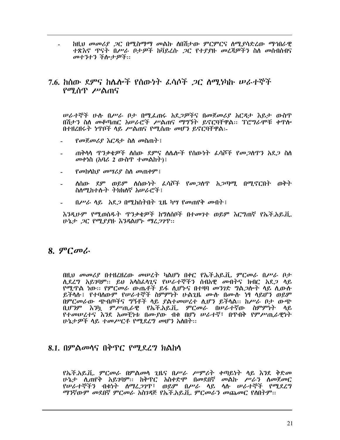ከዚህ መመሪያ ጋር በሚስማማ መልኩ ስበሽታው ምርምርና ስሚያሳድረው ማኅበራዊ *ተጽእኖ ጥናት በሥራ ቦታዎች ከ*ቫይረሱ *ጋ*ር የተያያዙ መረጃዎችን ስለ መስብስብና መተንተን ችሎታዎች::

#### 7.6. ከሰው ደምና ከሴሎች የሰውነት ፌሳሶች *ጋ*ር ስማ.ነካኩ ሠራተኞች የሚሰጥ ሥልጠና

ሥራተኞች ሁ**ስ በሥራ ቦታ በሚፌ**ጠሩ አደ*ጋዎ*ችና በመጀመሪያ አርዳታ እይታ ውስጥ በሽታን ስለ መቆጣጠር አሠራሮች ሥልጠና ማግኘት ይኖርባቸዋል፡፡ ፕሮግራሞቹ ቀጥሎ በተዘረዘሩት ነጥቦች ላይ ሥልጠና የሚሰጡ መሆን ይኖርባቸዋል፡-

- የመጀመሪያ እርዳታ ስስ መስጠት !
- ጠቅሳሳ ዋንቃቄዎች ስሰው ደምና ስሌሎች የሰውነት ፌሳሾች የመ*ጋ*ሰዋን አደ*ጋ* ስሰ  $\omega$ ቀነስ (አባሪ 2 ውስጥ ተመልከተ) ፡
- የመከላከያ መሣሪያ ስለ መጠቀም !
- ለሰው ደም ወይም ለሰውነት ፌሳሾች የመ*ጋ*ሰዋ አ*ጋ*ጣሚ በሚኖርበት ወቅት ስለሚከተሉት ትክክለኛ አሠራሮች፤
- $0$ ሥራ ሳይ ነአደ*ጋ* በሚከሰትበት ጊዜ ካሣ የመጠየቅ መብት ፤

እንዲሁም የሚወሰዱት ጥንቃቄዎች ከግለሰቦች በተመገተ ወይም እርግጠኛ የኤች.አይ.ቪ. ሁኔታ *ጋር የሚያያ*ዙ እንዳልሆኑ ማሪ*ጋገ*ጥ::

#### $8.9$ <sup>o</sup> $C$ *o* $\sim$

በዚህ መመሪያ በተዘረዘረው መሠረት ካልሆነ በቀር የኤች.አይ.ቪ. ምርመራ በሥራ ቦታ ሲደረግ አይገባም፡፡ ይህ አሳስፌሳጊና የሥራተኞችን ሰብአዊ መብትና ክብር አደ*ጋ* ሳይ የሚዋል ነው። የምርመራ ውጤቶች ይፋ ሲሆኑና በተዛባ መንገድ ግልጋሎት ሳይ ሲውሱ ይችላሉ፤ የተባለውም የሠራተኞች ስምምነት ሁልጊዜ ሙሉ በሙሉ ነፃ ላይሆን ወይም በምርመራው ጭብጦችና ግኝቶች ላይ ያልተመሠረተ ሲሆን ይችላል። ከሥራ ቦታ ውጭ ቢሆንም እንኳ ምሥጢራዊ የኤች.አይ.ቪ. ምርመራ በሠራተኛው ስምምነት ላይ የተመሠረተና እንደ አመቺነቱ በሙያው ብቁ በሆነ ሠራተኛ፣ በጥብቅ የምሥጢራዊነት ሁኔታዎች ላይ ተመሥርቶ የሚደረግ መሆን አለበት::

#### 8.1. በምልመሳና በቅጥር የሚደረግ ክልከሳ

የኤች.አይ.ቪ. ምርመራ በምልመሳ ጊዜና በሥራ ሥምሪት ቀጣይነት ሳይ እንደ ቅድመ ሁኔታ ሲጠየቅ አይገባም፡፡ ከቅጥር አስቀድሞ በመደበኛ መልኩ ሥራን ስመጀመር የሠራተኞችን ብቁነት ስማረ*ጋገ*ዋ፣ ወይም በሥራ ሳይ ሳሱ ሠራተኞች የሚደረግ ማንኛውም መደበኛ ምርመራ አስገዳጅ የኤች.አይ.ቪ. ምርመራን መጨመር የሰበትም፡፡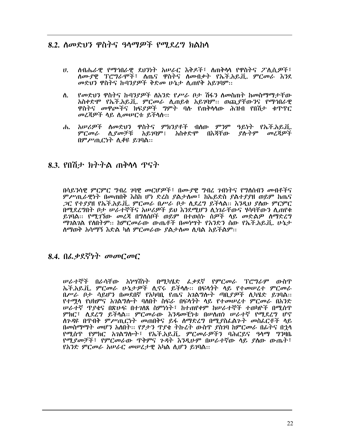#### 8.2. ለመድህን ዋስትና ዓላማዎች የሚደረግ ክልከላ

- ስብሔራዊ የማኅበራዊ ደህንነት አሠራር እቅዶች፣ ስጠቅሳሳ የዋስትና ፖሊሲዎች፣  $\mathbf{U}$ . ስሙያዊ ፕሮግራሞች፣ ስጤና ዋስትና ስመብቃት የኤች.አይ.ቪ. ምርመራ እንደ መድህን ዋስትና ኩባንያዎች ቅድመ ሁኔታ ሲጠየቅ አይገባም፡፡
- የመድህን ዋስትና ኩባንደዎች ለአንድ የሥራ ቦታ ሽፋን ለመስጠት ከመስማማታቸው ለ. አስቀድሞ የኤች.አይ.ቪ. ምርመራ ሲጠይቁ አይገባም፡፡ ወጪያቸውንና የማኅበራዊ ዋስትና መዋጮችና ክፍደዎች ንምት ባሉ የጠቅላሳው ሕዝብ የበሽታ ቁዋዋር መረጃዎች ሳይ ሲመሥርቱ ይችሳስ፡፡
- ሐ. አሥሪዎች ለመድህን ዋስትና ምክንያቶች ብለው ምንም ዓይነት የኤች.አይ.ቪ. ምርመራ ሲያመቻቹ አይገባም፤ አስቀድሞ በእጃቸው ያሉትም መረጃዎች በምሥጢርነት ሲቆዩ ይገባል::

#### 8.3. የበሽታ ክትትል ጠቅሳሳ ጥናት

በሳይንሳዊ ምርምር ግብረ ገባዊ መርሆዎች፣ በሙያዊ ግብረ ገብነትና የግለሰብን መብቶችና ምሥጢራዊነት በመጠበቅ እስከ ሆነ ድረስ ያልታሰመ፣ ከኤይድስ ያልተያያዘ ወይም ከጤና *ጋ*ር የተ*ያያ*ዘ የኤች.አይ.ቪ. ምር*መራ በሥራ ቦታ ሲ*ደረግ ይችላል። *እንዲህ ያለ*ው ምርምር በሚደረግበት ቦታ ሠራተኞችና አሠሪዎች ይህ እንደሚሆን ሊነገራቸውና ሃሳባቸውን ሲጠየቁ ይገባል። የሚገኘው መረጃ በግለሰቦች ወይም በተወሰኑ ስዎች ላይ መድልዎ ሰማድረግ ማገልገል የለበትም፡፡ ከምርመራው ውጤቶች በመነሣት የአንድን ሰው የኤች.አይ.ቪ. ሁኔታ ስማወቅ አሳማኝ እድል ካስ ምርመራው ያልታሰመ ሲባል አይችልም፡፡

#### 8.4.  $0$ ራቃደኛነት መመርመር

ሥራተኞች በራሳቸው አነሣሽነት በሚካሄድ ፌቃደኛ የምር*መ*ራ ፕሮግራም ውስጥ ኤች.አይ.ቪ. ምርመራ ሁኔታዎች ሲኖሩ ይችሳሱ፡፡ በፍሳጎት ሳይ የተመሠረተ ምርመራ በሥራ ቦታ ሳይሆን በመደበኛ የአካባቢ የጤና አንልግሎት ጣቢያዎች ሲካሄድ ይንባል፡፡ የተሟላ የህክምና አገልግሎት ባለበት ስፍራ በፍላንት ላይ የተመሠረተ ምርመራ በአንድ ሥራተኛ ዋያቄና በጽሁፍ በተንለጸ ስምነነት፣ ከተጠየቀም ከሥራተኞች ተወካዮች በሚሰጥ *ምክር*፣ ሊደረግ ይችላል። ምር*መ*ራው እንዳመቺነቱ በሠለጠነ ሠራተኛ የሚደረግ ሆኖ ስንዳዩ በዋብቅ ምሥጢርነት መጠበቅና ይፋ ስማድረግ በሚያስፌልጉት መስፌርቶች ሳይ በመስማማት መሆን አለበት፡፡ የፆታን ጥያቄ ትኩረት ውስጥ ያስገባ ከምርመራ በፊትና በኋላ የሚሰዋ የምክር አገልግሎት፣ የኤች.አይ.ቪ. ምርመራዎችን ባሕርይና ዓላማ ግንዛቤ የሚያመቻች፣ የምርመራው ዋቅምና ጉዳት እንዲሁም በሠራተኛው ሳይ ያስው ውጤት፣ የአንድ ምርመራ አሠራር መሠረታዊ አካል ሲሆን ይገባል።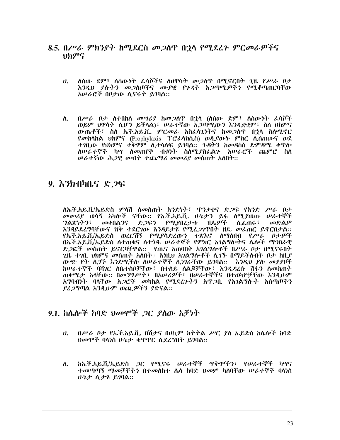- 8.5. በሥራ ምክንያት ከሚደርስ መጋሰዋ በኋላ የሚደረጉ ምርመራዎችና りわダら
	- $\mathbf{U}$ ለሰው ደም፣ ለሰውነት ፌሳሾችና ለህዋሳት መ*ጋ*ሰዋ በሚኖርበት ጊዜ የ*ሥራ* ቦታ እንዲህ ያሉትን መጋለጦችና ሙያዊ የንዳት አጋጣሚዎችን የሚቆጣጠርባቸው አሥራሮች በቦታው ሲኖሩት ይገባል።
	- ለ. በሥራ ቦታ ስተበከስ መሣሪያ ከመጋስዋ በኋላ (ለስው ድም፣ ስስውነት ፌሳሾች ወይም ህዋሳት ሲሆን ይችላል)፣ ሥራተኛው አ*ጋ*ጣሚውን እንዲቋቋም፣ ስለ ህክምና ውጤቶች፣ ስስ ኤች.አይ.ቪ. ምርመራ አስፌሳጊነትና ከመጋሰዋ በኋላ ስስሚኖር የመከሳከል ህክምና (Prophylaxis—ፐሮፊሳክሲስ) ወዲያውኑ ምክር ሲሰጠውና ወደ ተገቢው የህክምና ተቅዋም ሲተሳሰፍ ይገባል። ጉዳትን ከመዳሰስ ድምዳሜ ቀጥሎ ለሠራተኞች ካሣ ለመጠየቅ ብቁነት ስለሚያስፌልጉ አሠራሮች ጨምሮ ስለ ሠራተኛው ሕጋዊ መብት ተጨማሪ መመሪያ መሰጠት አስበት፡፡

#### $9.$   $\lambda$   $3h$   $0h$  $0.5$   $\&$   $2f$

ለኤች.አይ.ቪ/ኤይድስ ምሳሽ ለመስጠት አንድነት፣ ጥንቃቄና ድጋፍ የአንድ ሥራ ቦታ *መመሪያ* ወሳኝ አካሎች ናቸው። የኤች.አይ.ቪ. ሁኔታን ይፋ ስሚያወጡ ሠራተኞች<br>*ግ*ልጽነትን፣ መቀበልንና ድ*ጋ*ፍን የሚያበረታቱ ዘዴዎች ሲፌጠሩ፣ መድልዎ እንዳይደረግባቸውና ዝቅ ተደርገው እንዳይታዩ የሚፈ*ጋገ*ጥበት ዘዴ መፌጠር ይኖርበታል፡፡ የኤች.አይ.ቪ/ኤይድስ ወረርሽኝ የሚያሳድረውን ተጽእኖ ለማስዘብ የሥራ ቦታዎች በኤች.አይ.ቪ/ኤይድስ ስተጠቁና ስተጎዱ ሠራተኞች የምክር አገልግሎትና ሴሎች ማኅበራዊ ድ*ጋ*ፎች መስጠት ይኖርባቸዋል። የጤና አጠባበቅ አ*ገ*ልግሎቶች በሥራ ቦታ በሚኖሩበት ጊዜ ተገቢ ህክምና መሰጠት አስበት፤ እነዚህ አገልግሎቶች ሊገኙ በማይችሉበት ቦታ ከዚያ ውጭ የት ሲገኙ እንደሚችሉ ስሠራተኞች ሲነገራቸው ይገባል፡፡ እንዲህ ያሉ መያያዞች ከሠራተኞች ባሻገር ስቤተሰቦቻቸው፣ በተለይ ስልጆቻቸው፣ እንዲዳረሱ ሽፋን ስመስጠት ጠቀሜታ አሳቸው። በመንግሥት፣ በአሠሪዎች፣ በሠራተኞችና በተወካዮቻቸው እንዲሁም አግባብነት ባላቸው አ*ጋ*ሮች መካከል የሚደረጉትን አዋ*ጋ*ቢ የአንልግሎት አሰጣጦችን ያፈጋግጣል እንዲሁም ወጪዎችን ያድናል።

#### $9.1.$  ከሌሎች ከባድ ህመሞች *ጋ*ር ያስው አቻነት

- $\mathbf{U}$ . በሥራ ቦታ የኤች.አይ.ቪ. በሽታና በሀኪም ክትትል ሥር ያለ ኤይድስ ከሌሎች ከባድ ህመሞች ባላነስ ሁኔታ ቁጥጥር ሲደረግበት ይገባል::
- ከኤች.አይ.ቪ/ኤይድስ ጋር የሚኖሩ ሠራተኞች ጥቅሞችን፣ የሠራተኞች ካሣና ለ. ተመጣጣኝ ማመቻቸትን በተመለከተ ሴሳ ከባድ ህመም ካለባቸው ሠራተኞች ባሳነሰ ሁኔታ ሲታዩ ይገባል።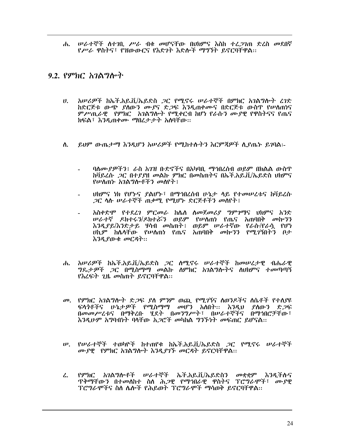ሐ. ሠራተኞች ስተገቢ ሥራ ብቁ መሆናቸው በህክምና እስከ ተረ*ጋገ*ጠ ድረስ መደበኛ የሥራ ዋስትና፣ የዝውውርና የእድንት እድሎች ማግኘት ይኖርባቸዋል።

#### 9.2. የምክር *አገ*ልግሎት

- አሠሪዎች ከኤች.አይ.ቪ/ኤይድስ ጋር የሚኖሩ ሠራተኞች በምክር አገልግሎት ረገድ  $\boldsymbol{\mathsf{U}}$ . ከድርጅቱ ውጭ ያለውን ሙያና ድ*ጋ*ፍ እንዲጠቀሙና በድርጅቱ ውስዋ የሠለጠነና ምሥጢራዊ የምክር አባልግሎት የሚቀርብ ከሆነ የራሱን ሙያዊ የዋስትናና የጤና ክፍል፣ እንዲጠቀሙ ማበረታታት አለባቸው።
- ይህም ውጤታማ እንዲሆን አሠራዎች የሚከተሉትን እርምጃዎች ሲደጤት ይገባል፡- $\Lambda$ .
	- ባለሙያዎችን፤ ራስ አገዝ ቡድኖችና በአካባቢ ማኅበረሰብ ወይም በክልል ውስጥ ክቫይረሱ *ጋር በተያያዘ መ*ልኩ *ምክር በመስጠትና በ*ኤች.አይ.ቪ/ኤይድስ ህክምና የሥስጠኑ አገልግሎቶችን መስየት ፡
	- ህክምና ነክ የሆኑና ያልሆኑ፣ በማኅበረሰብ ሁኔታ ሳይ የተመሠረቱና ከቫይረሱ *ጋ*ር ሳሱ ሥራተኞች ጠቃሚ የሚሆኑ ድርጅቶችን መሰየት፤
	- አስቀድሞ የተደረገ ምርመራ ከሴስ ስመጀመሪያ ግምገማና ህክምና አንድ ሠራተኛ ዶክተሩ*ን*/ዶክተሯን ወይም የሠሰጠነ የጤና አጠባበቅ መኰንን ሪ የተገኘ የሕገት ሕንብተውን ወይም ተወሰጡ ተበራኮ ለበጥበት ወዲስ ያደ<br>እንዲያይ/እንድታይ ሃሳብ መስጠት፤ ወይም ሠራተኛው የራሱ/የራሷ የሆነ ሀኪም ከሴሳቸው የሠሰጠነ የጤና አጠባበቅ መኰንን የሚገኝበትን ቦታ እንዲያውቁ መርዳት።
- ሐ. አሠሪዎች ከኤች.አይ.ቪ/ኤይድስ ጋር ሰሚኖሩ ሠራተኞች ከመሠረታዊ ብሔራዊ *ግ*ዴታ*ዎች ጋር* በሚስማማ መልኩ ስምክር አገልግሎትና ስህክምና ተመጣጣኝ የእረፍት ጊዜ መስጠት ይኖርባቸዋል፡፡
- *መ. የምክር አገ*ልግሎት ድ*ጋ*ፍ *ያ*ለ ምንም ወጪ የሚ*ገ*ኝና ለወንዶችና ለሴቶች የተለያዩ ፍላጎቶችና ሁኔታ*ዎች የሚ*ስማማ መሆን አለበት፡፡ እንዲህ ያለውን ድ*ጋ*ፍ በመመሥረቱና በማቅረቡ ሂደት በመንግሥት፣ በሠራተኞችና በማኅበሮቻቸው፣ እንዲሁም አግባብነት ባላቸው አጋሮች መካከል ግንኙነት መፍጠር ይሆናል::
- ሥ. የሥራተኞች ተወካዮች ከተጠየቁ ከኤች.አይ.ቪ/ኤይድስ *ጋ*ር የሚኖሩ ሥራተኞች ሙያዊ የምክር አገልግሎት እንዲያገኙ መርዳት ይኖርባቸዋል፡፡
- $\mathcal{L}$ . የምክር አገልግሎቶች ሠራተኞች ኤች.አይ.ቪ/ኤይድስን መቋቋም እንዲችሉና ፕሮግራሞችና ስስ ሴሎች የሕይወት ፕሮግራሞች ማሳወቅ ይኖርባቸዋል።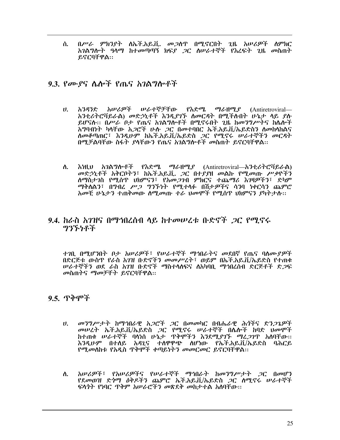በሥራ ምክንያት ለኤች.አይ.ቪ. መጋሰዋ በሚኖርበት ጊዜ አሠሪዎች ስምክር ለ. አገልግሎት ዓላማ ከተመጣጣኝ ክፍያ *ጋ*ር ስሠራተኞች የእረፍት ጊዜ መስጠት ይኖርባቸዋል::

#### 9.3. የሙያና ሌሎች የጤና አገልግሎቶች

- $\boldsymbol{\theta}$ . አንዳንድ አሠሪዎች ሠራተኞቻቸው የእድሜ ማራዘሚያ (Antiretroviral-አንቲሪትሮቫይራል) መድኃኒቶች እንዲያገኙ ስመርዳት በሚችስበት ሁኔታ ሳይ ያስ ይሆናሉ። በሥራ ቦታ የጤና አገልግሎቶች በሚኖሩበት ጊዜ ከመንግሥትና ከሴሎች አግባብነት ካላቸው አ*ጋ*ሮች ሁሉ *ጋ*ር በመተባበር ኤች.አይ.ቪ/ኤይድስን ለመከላከልና ስመቆጣጠር፣ እንዲሁም ከኤች.አይ.ቪ/ኤይድስ *ጋ*ር የሚኖሩ ሠራተኞችን መርዳት በሚቻልባቸው ስፋት ያላቸውን የጤና አገልግሎቶች መስጠት ይኖርባቸዋል።
- እነዚህ አገልግሎቶች የእድሜ ማራዘሚደ (Antiretroviral—አንቲሪትሮቫይራል) ስ. መድኃኒቶች አቅርቦትን፣ ከኤች.አይ.ቪ. ጋር በተያያዘ መልኩ የሚመጡ ሥቃዮችን ለማስታገስ የሚሰዋ ህክምናን፣ የአመ*ጋገ*ብ ምክርና ተጨማሪ እንዛዎችን፣ ድካም ማቅለልን፣ በማብረ ሥ*ጋ ግንኙነት የሚተ*ላፉ በሽታ*ዎች*ና ሳንባ ነቀርሳን ጨምሮ አመቺ ሁኔታን ተጠቅመው ስሚመጡ ተራ ህመሞች የሚስጥ ህክምናን ያካትታስ፡፡

#### 9.4. ከራስ አገዝና በማኅበረሰብ ላይ ከተመሠረቱ ቡድኖች *ጋ*ር የሚኖሩ **ማንኙነቶች**

ተገቢ በሚሆንበት ቦታ አሠሪዎች፣ የሠራተኞች ማኅበራትና መደበኛ የጤና ባስሙያዎች በድርጅቱ ውስጥ የራስ አገዝ ቡድኖችን መመሥረት፣ ወይም በኤች.አይ.ቪ/ኤይድስ የተጠቁ ሥራተኞችን ወደ ራስ አንዝ ቡድኖች ማስተላለፍና ለአካባቢ ማኅበረሰብ ድርጅቶች ድ*ጋ*ፍ መስጠትና ማመቻቸት ይኖርባቸዋል።

#### 9.5. ጥቅሞች

- መንግሥታት ከማኅበራዊ አጋሮች ጋር በመመካር በብሔራዊ ሕጎችና ድንጋጌዎች  $\mathbf{U}$ . መሠረት ኤች.አይ.ቪ/ኤይድስ *ጋ*ር የሚኖሩ ሠራተኞች በሌሎች ከባድ <del>ህመሞች</del> ከተጠቁ ሠራተኞች ባላነስ ሁኔታ ጥቅሞችን እንደሚያገኙ ማረ*ጋገ*ጥ አለባቸው፡፡ .<br>እንዲሁም በተለይ አዳጊና ተለዋዋጭ ለሆነው የኡች.አይ.ቪ/ኡይድስ ባሕርይ<br>የሚመለከቱ-የአዲስ-ዋቅሞች-ቀጣይነትን-መመርመር-ይኖርባቸዋል፡፡
- አሠሪዎች፣ የአሠሪዎችና የሠራተኞች ማኅበራት ከመንግሥታት ጋር በመሆን ለ. የደመወዝ ድጎማ ዕቅዶችን ጨምሮ ኤች.አይ.ቪ/ኤይድስ *ጋ*ር ሰሚኖሩ ሠራተኞች ፍላጎት የነባር ጥቅም አሠራሮችን መጽደቅ መከታተል አስባቸው።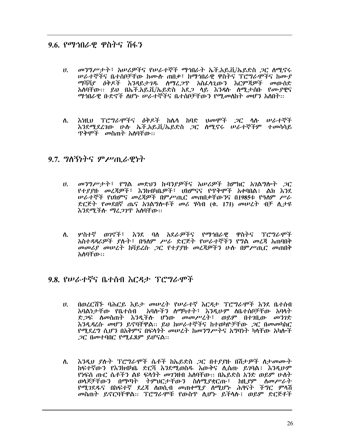#### 9.6. የማኅበራዊ ዋስትና ሽፋን

- መንግሥታት፣ አሠሪዎችና የሠራተኞች ማኅበራት ኤች.አይ.ቪ/ኤይድስ *ጋ*ር ስሚኖሩ  $\mathbf{U}$ . *ሠ*ራተኞችና ቤተሰቦቻቸው ከሙሱ ጠበቃ፣ ከማኅበራዊ ዋስትና ፕሮግራሞችና ከሙ*ያ* ማሻሻደ ዕቅዶች እንዳይታገዱ ስማሬ*ጋ*ጥ አስፈሳጊውን እርምጃዎች መውሰድ አሰባቸው። ይህ በኤች.አይ.ቪ/ኤይድስ አደ*ጋ* ሳይ እ*ንዳ*ሱ ሰሚ.ታሰቡ የ*ሙያ*ዊና ማኅበራዊ ቡድኖች ስሆኑ ሠራተኞችና ቤተሰቦቻቸውን የሚመስከት መሆን አስበት፡፡
- እነዚህ ፕሮግራሞችና *ዕቅዶች* ክሌላ ክባድ <del>ህመሞች *ጋ*ር ላሉ ሠራ</del>ተኞች  $\Lambda$ . እንደሚደረገው ሁስ ኤች.አይ.ቪ/ኤይድስ *ጋ*ር ሰሚኖሩ ሠራተኞችም ተመሳሳይ ጥቅሞች *መ*ስጠት አለባቸው።

#### $9.7.$  ግለኝነትና ምሥጢራዊነት

- *መንግሥታት*፣ የግል መድህን ኩባንያዎችና አሠሪዎች ከምክር አገልግሎት *ጋ*ር  $\boldsymbol{\theta}$ . የተያያዙ መረጃዎች፣ እንክብካቤዎች፣ ሀክምናና የጥቅሞች አቀባበል፣ ልክ እንደ ሠራተኞች የህክምና መረጃዎች በምሥጢር መጠበቃቸውንና በ1985ቱ የዓለም ሥራ ድርጅት የመደበኛ ጤና አገልግሎቶች መሪ ሃሳብ (ቁ. 171) መሠረት ብቻ ሲታዩ እንደሚችሉ ማፈጋገዋ አለባቸው።
- ሦስተኛ ወንኖች፣ እንደ ባለ አደራዎችና የማኅበራዊ ዋስትና ፕሮግራሞች ለ. አስተዳዳሪዎች ያሉት፣ በዓለም ሥራ ድርጅት የሠራተኞችን የግል መረጃ አጠባበቅ መመሪያ መሠረት ከቫይረሱ ጋር የተያያዙ መረጃዎችን ሁሉ በምሥጢር መጠበቅ አለባቸው።

#### 9.8. የሠራተኛና ቤተሰብ እርዳታ ፕሮግራሞች

- በወረርሽኙ ባሕርይ እይታ መሠረት የሠራተኛ እርዳታ ፕሮግራሞች እንደ ቤተሰብ  $\mathbf{U}$ . ድ*ጋ*ፍ ስመስጠት እንዲችስ ሆነው መመሥረት፣ ወይም በተገቢው መንገድ እንዲዳረሱ መሆን ይኖባቸዋል፡፡ ይህ ከሠራተኞችና ከተወካዮቻቸው *ጋ*ር በመመካከር *የጣደ*ረግ ሲሆን በአቅምና በፍላ*ጎት መሠረት ከመንግሥት*ና አግባነት ካላቸው አካሎች 20 በመተባበር የሚፈጸም ይሆናል::
- እንዲህ ያሉት ፕሮግራሞች ሴቶች ከኤይድስ ጋር በተያያዙ በሽታዎች ለታመሙት ስ. ክፍተኛውን የእንክብካቤ ድርሻ እንደሚወስዱ እውቅና ሊሰጡ ይንባል፤ እንዲሁም <u>የነፍሰ ጡር ሴቶችን ልዩ ፍላጎት መገንዘብ አለባቸው። በኤይድስ አንድ ወይም ሁስት</u> ወላጆቻቸውን በማጣት ትምህርታቸውን ስለሚያቋርጡ፣ ከዚያም ለመሥራት *የሚገ*ደዱና በከፍተኛ ደረጃ ለወሲብ *መ*ጠቀሚ*ያ* ለሚሆኑ ሕፃናት ችግር ምላሽ መስጠት ይኖርባቸዋል። ፐሮግራሞቹ የውስጥ ሲሆኑ ይችላሉ፤ ወይም ድርጅቶች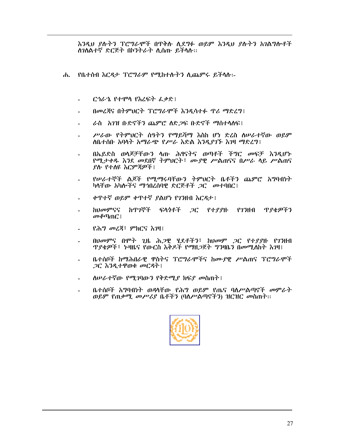እንዲህ ያሉትን ፐሮግራሞች በዋቅሱ ሲደግፉ ወይም እንዲህ ያሉትን አገልግሎቶች ስገስልተኛ ድርጅት በኮንትራት ሲሰጡ ይችላሱ።

- ሐ. የቤተሰብ እርዳታ ፕሮግራም የሚከተሱትን ሲጨምሩ ይችላሱ፡-
	- ርኅራኄ የተሞላ የእረፍት ፌቃድ፤
	- በመረጃና በትምህርት ፕሮግራሞች እንዲሳተፉ ጥሪ ማድረግ፤
	- ራስ አንዝ ቡድኖችን ጨምሮ ለድጋፍ ቡድኖች ማስተሳለፍ፤
	- ሥራው የትምህርት ሰዓትን የማይሻማ እስከ ሆነ ድረስ ስሥራተኛው ወይም ስቤተሰቡ አባላት አማራጭ የሥራ እድል እንዲያገኙ እንዛ ማድረግ፤
	- በኡይድስ ወላጆቻቸውን ሳው ሕፃናትና ወጣቶች ችግር መፍቻ እንዲሆኑ የሚታቀዱ እንደ መደበኛ ትምህርት፣ ሙያዊ ሥልጠናና በሥራ ሳይ ሥልጠና ያስ የተሰዩ እርምጃዎች !
	- የሠራተኞች ልጆች የሚማሩባቸውን ትምህርት ቤቶችን ጨምሮ አግባብነት ካላቸው አካሎችና ማኅበረሰባዊ ድርጅቶች *ጋ*ር መተባበር፤
	- ቀጥተኛ ወይም ቀጥተኛ ያልሆነ የገንዘብ እርዳታ !
	- *ከህመምናና ከጥገ*ኞች ፍላ*ጎቶች ጋር የተያያ*ዙ የ*ገን*ዘብ ጥ*ያቄዎችን*  $\omega \in \mathbb{C}$  ፣
	- የሕግ መረጃ፣ ምክርና እንዛ፤
	- በህመምና በሞት ጊዜ ሕጋዊ ሂደቶችን፣ ከህመም ጋር የተያያዙ የገንዘብ **ጥያቄዎች፣ ኑዛዜና የውርስ እቅዶች የማዘጋጀት ግንዛቤን በመሚስከት እንዛ**፤
	- ቤተሰቦች ከማሕበራዊ ዋስትና ፕሮግራሞችና ከሙያዊ ሥልጠና ፕሮግራሞች 20 እንዲተዋወቁ መርዳት !
	- ስሥራተኛው የሚገባውን የቅድሚያ ክፍያ መስጠት፤
	- ቤተሰቦች አግባብነት ወዳሳቸው የሕግ ወይም የጤና ባስሥልጣኖች መምራት ወይም የጠቃሚ መሥሪያ ቤቶችን (ባለሥልጣኖችን) ዝርዝር መስጠት::

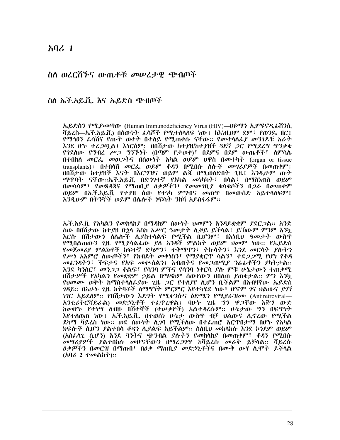#### $\lambda$   $\alpha$  1

#### ስለ ወረርሽኙና ውጤቶቹ መሠረታዊ ጭብጦች

ስለ ኤች.አይ.ቪ. እና ኤይድስ ጭብጦች

ኤይድስን የሚያመጣው (Human Immunodeficiency Virus (HIV)—ሀዩማን ኢምዩኖዲፊሽንሲ ቫይረስ—ኤች.አይ.ቪ) በሰው*ነት ፌ*ሳሾች የሚተለሳለፍ ነው፤ ከእነዚህም ደም፣ የወንዴ ዘር፤ የማኅፀን ፌሳሽና የጡት ወተት በተለይ የሚጠቀሱ ናቸው፡፡ የመተሳሰፊያ መንገዶቹ አራት እንደ ሆኑ ተፈጋጧል፤ እነርስም፡- በበሽታው ከተያዘ/ከተያዘች ጓደኛ ጋር የሚደረግ ጥንቃቄ የጎደሰው የግብረ ሥ*ጋ* ግንኙነት (በጣም የታወቀ)፣ በደምና በደም ውጤቶች፣ ስምሳሴ በተበከሰ መርፌ መወ*ጋት*ና በሰውነት አካል ወይም ህዋስ በመተካት (organ or tissue transplants) ፣ በተበሳሽ መርራ ወይም ቆዳን በሚበሱ ሰሎች መሣሪያዎች በመጠቀም ፣ በበሽታው ከተያዘች እናት በእርግዝና ወይም ልጁ በሚወለድበት ጊዜ፤ እንዲሁም ጡት *ማ*ዋባት ናቸው፡፡፡ኤች.አይ.ቪ በድንገተኛ የአካል *መ*ነካካት፣ በሳል፣ በማስነጠስ ወይም በመሳሳም፣ የመጸዳጃና የማጠቢያ ዕቃዎችን፣ የመመንቢያ ቁሳቁሶችን በ*ጋ*ራ በመጠቀም ወይም በኤች.አይ.ቪ የተያዘ ሰው የተነካ ምግብና መጠጥ በመውሰድ አይተላለፍም፤ እንዲሁም በትንኞች ወይም በሌሎች ነፍሳት ንክሻ አይስፋፋም፡፡

ኤች.አይ.ቪ የአካልን የመከሳከደ በማዳከም ሰውነት ህመምን እንዳይቋቋም ደደር*ጋ*ል፡፡ አንድ ሰው በበሽታው ከተያዘ በኃላ እስከ አሥር ዓመታት ሲቆይ ይችላል፤ ይኸውም ምንም እንካ <u>እርሱ በሽታውን ለሌሎች ሊያስተላልፍ የሚችል ቢሆንም፤ በእነዚህ ዓመታት ውስጥ</u> የሚበልጠውን ጊዜ የሚያሳልፌው ያለ አንዳች ምልክት ወይም ህመም ነው፡፡ የኤይድስ የመጀመሪያ ምልክቶች ከፍተኛ ድካምን፣ ተቅማጥን፣ ትኩሳትን፣ እንደ መርሳት ያስትን *የሥነ አ*እምሮ ለውጦችን፣ የክብደት *መቀነ*ስን፣ የማያቋርዋ ሳልን፣ ተደ*ጋጋሚ* የሆነ የቆዳ መፈንዳትን፣ ችፍታና የአፍ መቍስልን፤ እብጠትና የመ*ጋ*ጠሚ*ያ ንሌ*ፊቶችን ያካትታል። እንደ ካንስር፣ *መንጋጋ ቆ*ልፍ፣ የሳንባ ምችና የሳንባ ነቀርሳ ደሱ ምቹ ሁኔታውን ተጠቃሚ በሽታዎች የአካልን የመቋቋም ኃይል በማዳከም ሰውየውን በበስጠ ያጠቁታል፡፡ ምን እንኳ የህመሙ ወቅት ከማስተሳሰፊያው ጊዜ *ጋ*ር የተሰያየ ሲሆን ቢችልም በአብዛኛው ኤይድስ *ገዳ*ይ፡፡ በአሁ*ኑ ጊ*ዜ ክትባቶች ለማግኘት ምርምር እየተካሄደ ነው፣ ሆኖም ገና ህልውና *ያገ*ኘ *ነገ*ር አይደሰም፡፡ የበሽታውን እድ*ገት የሚቀን*ሱና *ዕ*ድሜን የሚ*ያ*ራዝሙ (Antiretroviral— አንቲሪትሮቫይራል) መድኃኒቶች ተፌዋረዋል፤ ባሁኑ ጊዜ ግን ዋጋቸው እጅግ ውድ ከመሆኑ የተነሣ ስብዙ በሽተኞች (ተሠቃዮች) አልተዳረሱም፡፡ ሁኔታው ግን በፍጥነት እየተለወጠ ነው፤ ኤች.አይ.ቪ. በተወሰነ ሁኔታ ውስዋ ብቻ ህልውና ሊኖረው የሚችል ደካማ ቫይረስ ነው፡፡ ወደ ሰውነት ሲገባ የሚችሰው በተፌጠሮ እርጥበታማ በሆኑ የአካል *ክ*ፍሎች ሲሆን *ያ*ልተበሳ *ቆዳን ሊያ*ልፍ አይችልም። ስለዚህ *መ*ከሳከሱ እንደ ኮንደም ወይም (አስፈላጊ ሲሆን) እንደ 3ንትና ጭንብል ያሉትን የመከላከያ በመጠቀም፣ ቆዳን የሚበሱ *መሣሪያዎች ያ*ልተበከሉ *መ*ሆናቸው*ን* በማረ*ጋገ*ዋ ከቫይረሱ መራቅ ይቻላል፡፡ ቫይረሱ *ዕቃዎችን* በመርዝ በማጠብ፣ በዕ*ቃ ማ*ጠቢ*ያ መ*ድኃኒቶችና በሙቅ ውሃ ሲሞት ይችላል  $(h \, \mathcal{U} \, 2 \, \mathcal{U} \, \mathcal{U})$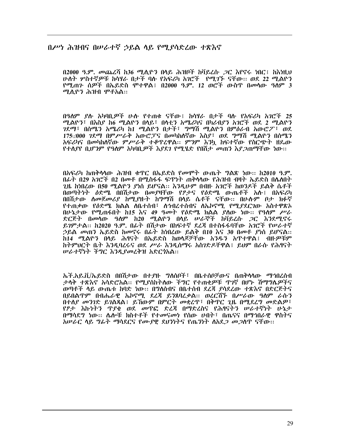#### በሥነ ሕዝብና በሠራተኛ ኃይል ላይ የሚያሳድረው ተጽእኖ

በ2000 ዓ.ም. መጨረሻ ከ36 ሚሊዮን በላይ ሕዝቦች ከቫይረሱ .ጋር እየኖሩ ነበር፤ ከእነዚህ ሁለት ሦስተኛዎቹ ከሳሃራ በታች ባሉ የአፍሪካ አንሮች የሚገኙ ናቸው፡፡ ወደ 22 ሚልዮን የሚጠን ሰዎች በኤይድስ ሞተዋል፤ በ2000 ዓ.ም. 12 ወሮች ውስጥ በመሳው ዓስም 3 ሚሲዮን ሕዝብ ሞቶአል።

በዓለም ያሉ አካባቢዎች ሁሉ የተጠቁ ናቸው፤ ከሳሃራ በታች ባሉ የአፍሪካ አገሮች 25 ሚልዮን፣ በእስያ ከ6 ሚልዮን በላይ፣ በላቲን አሜሪካና በካሪብያን አንሮች ወደ 2 ሚልዮን ገደማ፣ በሰሜን አሜሪካ ከ1 ሚልዮን በታች፣ ግማሽ ሚልዮን በምዕራብ አውሮፖ፣ ወደ 175ህ000 ገደማ በምሥራቅ አውሮፓና በመካከለኛው እስደ፣ ወደ ግማሽ ሚልዮን በሰሜን አፍሪካና በመካከለኛው ምሥራቅ ተቆዋረዋል። ምንም እንኳ ከፍተኛው የስርጭት ዘዴው የተለያየ ቢሆንም የዓለም አካባቢዎች እያደገ የሚሄድ የበሽታ መጠን እያ*ጋ*ጠማቸው ነው፡፡

በአፍሪካ ከጠቅሳሳው ሕዝብ ቁጥር በኤይድስ የመሞት ውጤት ግልጽ ነው፡፡ ከ2010 ዓ.ም. በፊት በ29 አገሮች በ2 በመቶ በሚስፋፋ ፍዋነት ጠቅላላው የሕዝብ ብዛት ኤይድስ በሌለበት ጊዜ ከነበረው በ50 ሚልዮን ያነሰ ይሆናል፡፡ እንዲሁም በብዙ አገሮች ከወንዶች ይልቅ ሴቶች በወጣትነት ዕድሜ በበሽታው በመያዛቸው የፆታና የዕድሜ ውጤቶች አሱ፤ በአፍሪካ በበሽታው ስመጀመሪያ ከሚያዙት ከግማሽ በላይ ሴቶች ናቸው፡፡ በሁሱም ቦታ ክፉኛ የተጠቃው የዕድሜ ክልል ለቤተሰብ፣ ለኅብረተሰብና ለኤኮኖሚ የሚያደርገው አስተዋጽኦ በሁኔታው የሚጠፋበት ከ15 እና 49 ዓመት የዕድሜ ክልል ያስው ነው። የዓለም ሥራ ድርጅት በመሳው ዓስም ከ20 ሚልዮን በሳይ ሠራኞች ከቫይረሱ *ጋ*ር እንደሚኖሩ ይገምታል። ከ2020 ዓ.ም. በፊት በሽታው በከፍተኛ ደረጃ በተስፋፋባቸው አገሮች የሥራተኛ ኃይል መጠን ኤይድስ ከመኖሩ በፊት ከነበረው ይልቅ በ10 እና 30 በመቶ ያነሰ ይሆናል። ከ14 ሚልዮን በላይ ሕፃናት በኤይድስ ከወላጆቻቸው አንዱን አጥተዋል፤ ብዙ*ዎቹም* ከትምሀርት ቤት እንዲባረሩና ወደ ሥራ እንዲሰማሩ አስንድዶቸዋል፤ ይህም በራሱ የሕፃናት **ሠራተኛነት ችግር እንዲያመረቅዝ አድርጎአል::** 

ኤች.አይ.ቪ/ኤይድስ በበሽታው በተያዙ ግለሰቦች፣ በቤተሰቦቻውና በጠቅላላው ማኅበረሰብ ታሳቅ ተጽእኖ አሳድሮአል። የሚያስከትለው ችግር የተጠቂዎቹ ጥንኛ በሆኑ ሽማግሌዎችና ወጣቶች ላይ ውጤቱ ክባድ ነው። በግለሰብና በቤተሰብ ደረጃ ያሳደረው ተጽእኖ በድርጅትና በይበልጥም በብሔራዊ ኤኮኖሚ ደረጃ ይንጸባረቃል፡፡ ወረርሽኙ በሥራው ዓለም ራሱን በተለያ መንገድ ይገልጻል፤ ይኸውም በምርት መቋረዋ፣ በቅጥር ጊዜ በሚደረግ መድልዎ፣ የፆታ እኩነትን ጥያቄ ወደ መጥፎ ድረጃ በማድረስና የሕፃናትን ሠራተኛነት ሁኔታ በማሳደግ ነው። ሌሎቹ ክስተቶች የተመናመነ የሰው ሀብት፣ በጤናና በማኅበራዊ ዋስትና አሠራር ላይ ግራት ማሳደርና የሙያዊ ደህንነትና የጤንነት ስአደ*ጋ መጋ*ለጥ ናቸው።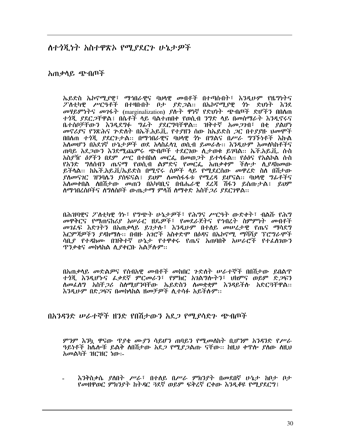ለተጎጂነት አስተዋጽኦ የሚያደርጉ ሁኔታዎች

አጠቃሳይ ጭብጠች

ኤይድስ ኤኮኖሚያዊ፣ ማኅበራዊና ባህሳዊ መብቶች በተጣሱበት፣ እንዲሁም የዜግነትና ፖለቲካዊ ሥርዓቶች በተዛቡበት ቦታ ያድጋል፡፡ በኤኮኖሚያዊ ጎኑ ድህነት እንደ መዛይምነትና መገፋት (marginalization) ያሉት ዋነኛ የድህነት ጭብጦች ድሆችን በበለጠ *ተጎጂ ያ*ደር*ጋ*ቸዋል፤ በሴቶች ላይ ባልተጠበቀ የወሲብ *ንግ*ድ ላይ በመሰማራት እንዲኖሩና ቤተሰቦቻቸውን እንዲደግፉ ግፊት ያደርግባቸዋል፡፡ ዝቅተኛ አመ*ጋ*ገብ፣ በቂ ያልሆነ መኖሪያና የንጽሕና ጕድለት በኤች.አይ.ቪ. የተያዘን ሰው ከኤይድስ ጋር በተያያዙ ህመሞች በበለጠ ተጎጂ ያደርጉታል። በማኅበራዊና ባህላዊ ጎኑ በግልና በሥራ ግንኙነቶች እኩል አስመሆን በአደገኛ ሁኔታዎች ወደ አላስፈላጊ ወሲብ ይመራሱ፡፡ እንዲሁም አመለካከቶችና ጠባይ አደ*ጋ*ውን እንደሚጨምሩ ጭብጦች ተደርገው ሲታወቁ ይገባል። ኤች.አይ.ቪ. ሱስ *አ*ስ*ያዥ ዕፃችን* በደም *ሥር* በተበከለ *መርፌ በመወጋት ይተ*ላፋል። የ*ዕፅ*ና የአልኮል ሱስ የአንድ ግለሰብን ጤናማ የወሲብ ልምድና የመርፌ አጠቃቀም ችሎታ ሲ*ያዳ*ክመው ይችላል። ከኤች.አይ.ቪ/ኤይድስ በሚኖሩ ሰዎች ላይ የሚደርሰው መዋሪድ ስለ በሽታው ያስመናገር ዝንባሴን ያሰፍናል፤ ይህም ስመስፋፋቱ የሚረዳ ይሆናል። ባህሳዊ ግፊቶችና አለመቀበል ለበሽታው መጠን በአካባቢና በብሔራዊ ደረጃ ሽፋን ይሰጡታል፤ ይህም ስማኅበረሰቦችና ስግስሰቦች ውጤታማ ምሳሽ ስማቀድ አስቸ*ጋሪ ያ*ደርገዋል፡፡

በሕዝባዊና ፖለቲካዊ ጎኑ፣ የግጭት ሁኔታዎች፣ የሕግና ሥርዓት ውድቀት፣ ብልሹ የሕግ መዋቅርና የማጠናከሪያ አሠራር ዘዴዎች፣ የመደራጀትና የኅብረት ስምምነት መብቶች መገፌፍ እድገትን በአጠቃላይ ይገታሉ፣ እንዲሁም በተሰይ መሠረታዊ የጤና ማሳደግ እርምጃዎችን ያዳክማስ፡፡ በብዙ አገሮች አስቀድሞ በዕዳና በኤኮኖሚ ማሻሻያ ፕሮግራሞች ሳቢያ የተዳከሙ በዝቅተኛ ሁኔታ የተዋቀሩ የጤና አጠባበቅ አሠራሮች የተፈሰገውን *ግንቃቄና መከ*ሳስል ሲያቀርቡ አልቻሉም፡፡

በአጠቃላይ መድልዎና የሰብአዊ መብቶች መከበር ንድለት ሠራተኞች በበሽታው ይበልጥ ተጎጂ እንዲሆኑና ፌቃደኛ ምርመራን፣ የምክር አገልግሎትን፣ ህክምና ወይም ድ*ጋ*ፍን ስመፌሰግ አስቸ*ጋሪ* ስሰሚሆንባቸው ኤይድስን ስመቋቋም እንዳይችሱ አድርጓቸዋል፡፡ እንዲሁም በድ*ጋ*ፍና በመከሳከል ዘመቻ*ዎ*ች ሲተሳፉ አይችሉም፡፡

በአንዳንድ ሥራተኞች ዘንድ የበሽታውን አደ*ጋ* የሚያሳድን ጭብጦች

ምንም እንኳ ዋናው ጥያቄ ሙያን ሳይሆን ጠባይን የሚመስከት ቢሆንም አንዳንድ የሥራ *ዓይነቶች ከሴ*ሎቹ ይልቅ ለበሽታው *አ*ደ*ጋ የሚያጋ*ልጡ ናቸው። ከዚህ ቀዋሎ *ያ*ለው ስዚህ አመልካች ዝርዝር ነው፡-

እንቅስቃሴ ያለበት ሥራ፣ በተለይ በሥራ ምክንያት በመደበኛ ሁኔታ ከቦታ ቦታ የመዘዋወር ምክንያት ከትዳር ጓደኛ ወይም ፍቅረኛ ርቀው እንዲቆዩ የሚያደርግ፤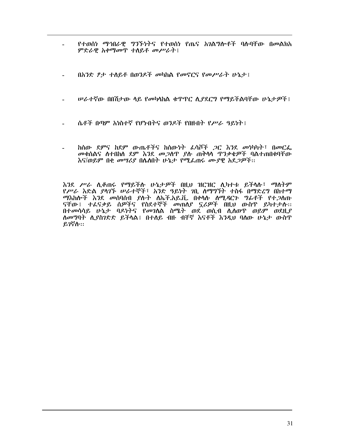- የተወሰነ ማኅበራዊ ግንኙነትና የተወሰነ የጤና አንልግሎቶች ባሉባቸው በመልክአ  $\sim$ ምድራዊ አቀማመጥ ተስይቶ መሥራት፤
- በአንድ ፆታ ተስይቶ በወንዶች መካከል የመኖርና የመሥራት ሁኔታ፤  $\mathbf{r}$
- **ሠራተኛው በበሽታው ሳይ የመካሳከል ቁጥጥር ሲያደርግ የማይችልባቸው ሁኔታዎች** ፡
- ሴቶች በጣም አነስተኛ የሆኑበትና ወንዶች የበዙበት የሥራ ዓይነት !
- ከሰው ደምና ከደም ውጤቶችና ከሰውነት ፌሳሾች *ጋ*ር እንደ መነካካት፣ በመርፌ  $\sim$ መቁሰልና ስተበከሰ ደም እንደ መጋሰጥ ያሱ ጠቅሳሳ ዋንቃቄዎች ባልተጠበቁባቸው እና/ወይም በቂ መሣሪያ በሌለበት ሁኔታ የሚፌጠሩ ሙያዊ አደ*ጋዎች*።

እንደ ሥራ ሲቆጠሩ የማይችሱ ሁኔታዎች በዚህ ዝርዝር ሲካተቱ ይችላሉ፣ ማስትም የሥራ እድል ያሳፖች ሠራተኞች፣ አንድ ዓይነት ንቢ ስማግኘት ተስፋ በማድረግ በከተማ *ማ*እከሎች እንደ መሰባሰብ ያሉት ለኤች.አይ.ቪ. በቀላሉ ሰሚ*ዳ*ርን *ግ*ፊቶች የተ*ጋ*ሰጡ ናቸው፤ ተፈናቃይ ሰዎችና የስደተኞች መጠለያ ኗሪዎች በዚህ ውስዋ ይካተታሱ፡፡ በተመሳሳይ ሁኔታ ባዶነትና የመገለል ስሜት ወደ ወሲብ ሲለወዋ ወይም ወደዚያ ለመግባት ሲያስገድድ ይችላል፤ በተለይ ብዙ ብቸኛ እናቶች እንዲህ ባለው ሁኔታ ውስጥ ይገኛሱ።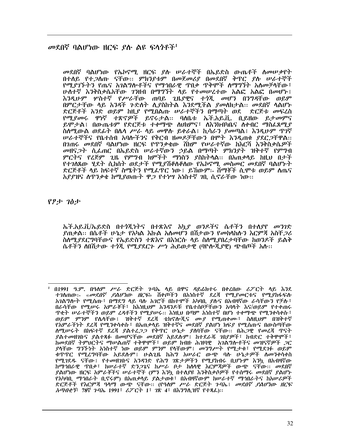#### መደበኛ ባልሆነው ዘርፍ *ያ*ሱ ልዩ ፍላ*ጎ*ቶች<sup>1</sup>

*መ*ደበኛ ባልሆነው የኤኮኖሚ ዘርፍ *ያ*ሉ ሠራተኞች በኤይድስ ውጤቶች ስመሠ*ቃ*የት በተሰይ የተ*ጋ*ሰጡ ናቸው:: ምክንያቱም በመጀመሪያ በመደበኛ ቅጥር ያሱ ሠራተኞች የሚያገኙትን የጤና አገልግሎቶችና የማኅበራዊ ጥበቃ ጥቅሞች ስማግኘት አስመቻላቸው፣ ሁስተኛ እንቅስቃሴአቸው ገንዘብ በማግኘት ላይ የተመሠረተው አልፎ አልፎ በመሆኑ፤ እንዲሁም ሦስተኛ የሥራቸው ጠባይ ጊዜያዊና ተንጂ መሆን በንግዳቸው ወይም በምርታቸው ላይ አንዳች ጉድለት ሲያስከትል እንደሚችል ያመለክታል፡፡ መደበኛ ሳልሆኑ ድርጅቶች አንድ ወይም ከዚያ የሚበልጡ ሠራተኞችን በማጣት ወደ ድርጅቱ መፍረስ የሚያመሩ ዋነኛ ተጽኖዎች ይኖሩታል። ባለቤቱ ኤች.አይ.ቪ. ቢይዘው ይታመምና ይሞታል፤ በውጤቱም የድርጅቱ ተቀማጭ ስህክምና፤ ስእንክብካቤና ስቀብር ማስፌጸሚያ ስስሚውል ወደፊት በሌላ ሥራ ላይ መዋሱ ይቀራል፤ ኪሳራን ያመጣል፤ እንዲሁም ዋንኛ **ሠራተኞችና የቤተሰብ አባሎችንና የቅርብ ዘመዶቻቸውን በሞት እንዲጠቁ ያደር***ጋ***ቸዋል::** በንጠሩ መደበኛ ባልሆነው ዘርፍ የጥንቃቄው ሽክም የሠራተኛው ከእርሻ እንቅስቃሴዎች *መ*ዘና*ጋት ሲፌ*ጠር በኤይድስ ሠራተኛውን ኃይል በማጣት ምክንያት ዝቅተኛ የምግብ ምርትና የረጅም ጊዜ የምግብ ክምችት ማነስን ያስከትላል፡፡ በአጠቃላይ ከዚህ በታች የተገለጸው ሂደት ሲከሰት ወደታች የሚያሽቆስቆስው የኤኮኖሚ መስመር መደበኛ ባልሆኑት ድርጅቶች ላይ ከፍተኛ ስሜትን የሚፌዋር ነው፤ ይኸውም፡- ሽማቾች ሲሞቱ ወይም ስጤና አያያዝና ሰዋንቃቄ ከሚያወጡት ዋ*ጋ* የተነሣ አነስተኛ *ገ*ቢ ሲኖራቸው ነው።

የፆታ ገፅታ

ኤች.አይ.ቪ/ኤይድስ በተጎጂነትና በተጽእኖ አኳያ ወንዶችና ሴቶችን በተሰያየ መንገድ ያጠቃል። በሴቶች ሁኔታ የአካል እኩል አለመሆን በሽታውን የመከላከሉን እርምጃ አስቸ*ጋ*ሪ ስለሚያደርግባቸውና የኤይድስን ተጽእኖ በእነርሱ ላይ ስለሚያበረታባቸው ከወንዶች ይልቅ ሴቶችን ስበሽታው ተንጂ የሚያደርጉ ሥነ ሕይወታዊ (ባዮሎጂያዊ) ጭብጦች አሱ፡፡

<sup>&</sup>lt;sup>1</sup> በ1991 ዓ.ም. በዓለም *ሥራ* ድርጅት ጉባኤ ላይ በዋና ዳይሬክተሩ በቀረበው ሪፖርት ላይ እንደ<br>ተገለጠው:- «*መደበኛ ,የልሆነው ዘርፍ*» ሽቀጦችን በአነስተኛ ደረጃ የሚ*ያመ*ርቱና የሚያከፋፍሉ አንልግሎት የሚሰጡ፣ በማደግ ላይ ባሉ አንሮች በከተሞች አካባቢ ደሉና በአብዛኛው ራሳቸውን የቻሉ፣ በራሳቸው የሚሥሩ አምራቾች፣ ከእነዚህም አንዳንዶቹ የቤተሰቦቻቸውን አባላት እና/ወይም የተቀጠሩ ዋቂት ሠራተኞችን ወይም ፈዳቶችን የሚያሠሩ። እነዚህ በጣም አነስተኛ በሆነ ተቀማጭ የሚንቀሳቀሱ፣ ወይም ምንም የሴሳቸው፤ ዝቅተኛ ደረጃ ቴክኖሎጂና ሙያ የሚጠቀሙ፤ ስስዚህም በዝቅተኛ የአምራችነት ደረጃ የሚንቀሳቀሱ፣ በአጠቃላይ ዝቅተኛና መደበኛ ያልሆነ ክፍያ የሚሰጡና በውስጣቸው ስሚሥሩት በከፍተኛ ደረጃ ያልተረ*ጋጋ* የቅጥር ሁኔታ ያሰባቸው ናቸው። በሕ*ጋ*ዊ የመረጃ ጥናት ያልተመዘገቡና ያልተጻፉ በመሆናቸው መደበኛ አይደሱም፤ ከተደራጁ ገበያዎች፣ ከብድር ተቅዋሞች፣ *ከመ*ደበኛ *ትምህርትና ማሠ*ልጠኛ ተቅዋሞች፣ ወይም ከብዙ ሕዝባዊ አገልግሎቶችና መዝናኛ*ዎች ጋ*ር *ያ*ላቸው *ግኘኙነ*ት አነስተኛ ነው ወይም ምንም የላቸውም፤ *መንግሥት* የሚታቁ፤ የሚደ*ገ*ፉ ወይም .<br>ቁጥጥር የሚረግባቸው አይደሱም፤ ሁልጊዜ ከሕግ አሠራር ውጭ ባሉ ሁኔታ*ዎ*ች ለመንቀሳቀስ የሚገደዱ ናቸው፤ የተመዘገቡና አንዳንድ የሕግ ገጽታዎችን የሚያከብሩ ቢሆኑም እንኳ በአብዛኛው .<br>ከማኅበራዊ ጥበቃ፣ ከሠራተኛ ድንጋጌና ከሥራ ቦታ ከሰሳዊ እርምጃዎች ውጭ ናቸው። መደበኛ ያልሆነው ዘርፍ አምራቾችና ሠራተኞች (ምን እንኳ በተለያዩ እንቅስቃሶዎች የተሰማሩ መደበኛ ያልሆኑ የአካባቢ ማኅበራት ቢኖሩም) በአጠቃላይ ያልታወቁ፣ በአብዛኛውም ከሠራተኛ ማኅበራትና ከአሠሪዎች ድርጅቶች የእርምጃ ዓላማ ውጭ ናቸው። (የዓለም ሥራ ድርጅት ጉባኤ፤ *መደበኛ ያልሆነው ዘርፍ አጣብቂኝ*፣ 78ኛ ጉባኤ 1991፣ ሪፖርት 1፣ 7ጽ 4፣ በእንግሊዝኛ የተጻፌ)::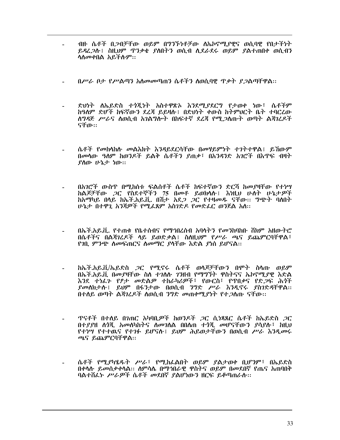- ብዙ ሴቶች በ*ጋ*ብቻቸው ወይም በግንኙነቶቻው ስኤኮኖሚያዊና ወሲባዊ የበታችነት ይዳረ*ጋ*ሱ፤ ስዚህም ዋንቃቄ ያስበትን ወሲብ ሲደራደሩ ወይም ያልተጠበቀ ወሲብን ሳስመቀበል አይችሱም።
- በሥራ ቦታ የሥልጣን አስመመጣጠን ሴቶችን ስወሲባዊ ጥቃት ደጋልጣቸዋል።
- ድህነት ስኤይድስ ተጎጂነት አስተዋጽኦ እንደሚያደርግ የታወቀ ነው፣ ሴቶችም ከዓለም ድሆች ከፍኛውን ደረጃ ይይዛሉ፤ በድህነት ቀውስ ከትምህርት ቤት ተባርረው ለግዳጅ ሥራና ለወሲብ አገልግሎት በከፍተኛ ደሬጃ የሚ*ጋ*ለጡት ወጣት ልጃገሬዶች ናቸው።
- ሴቶች የመከሳከሱ መልእክት እንዳይደርሳቸው በመሃይምነት ተገትተዋል፤ ይኸውም በመሳው ዓለም ከወንዶች ይልቅ ሴቶችን ያጠቃ፣ በአንዳንድ አገሮች በእጥፍ ብዛት ያስው ሁኔታ ነው።
- በአንሮች ውስዋ በሚከሰቱ ፍልሰቶች ሴቶች ከፍተኛውን ድርሻ ከመያዛቸው የተነሣ ከልጆቻቸው *ጋ*ር የስደተኞችን 75 በመቶ ይወክሳሉ፤ እነዚህ ሁስት ሁኔታዎች ከአማካይ በላይ ከኤች.አይ.ቪ. በሽታ አደ*ጋ ጋ*ር የተዛመዱ ናቸው፡፡ *ግጭት* ባለበት ሁኔታ በተዋጊ አንጀዎች የሚፈጸም አስገድዶ የመድፈር ወንጀል አለ::
- በኤች.አይ.ቪ. የተጠቁ የቤተሰብና የማኅበረሰብ አባላትን የመንከባከቡ ሸክም አዘውትሮ በሴቶችና በልጃገረዶች ላይ ይወድቃል፤ ስስዚህም የሥራ ጫና ይጨምርባቸዋል፣ የገቢ ምንጭ ስመፍጠርና ስመማር ያሳቸው እድል ያነሰ ይሆናል።
- ከኤች.አይ.ቪ/ኤይድስ *ጋ*ር የሚኖሩ ሴቶች ወሳጆቻቸውን በሞት ስሳጡ ወይም በኤች.አይ.ቪ በመያዛቸው ስለ ተገለሉ ገንዘብ የማግኘት ዋስትናና ኤኮኖማ.ያዊ እድል እንደ ተነፊን የፆታ መድልዎ ተከራካሪዎች፣ የውርስ፣ የጥበቃና የድጋፍ ሕጎች *ያመ*ለክታሉ፤ ይህም በፋንታው በወሲብ *ንግ*ድ *ሥራ እንዲ*ኖሩ *ያስገ*ድዳቸዋል። በተሰይ ወጣት ልጃገረዶች ስወሲብ ንግድ መጠቀሚያነት የተ*ጋ*ስጡ ናቸው፡፡
- ዋናቶች በተለይ በንጠር አካባቢ*ዎች* ከወንዶች *ጋ*ር ሲ<del>ነጻጸር ሴቶች ከኤይድስ *ጋ*ር</del> በተደደዘ ሰጎጂ አመሰካከትና ስመገለል በበለጠ ተጎጂ መሆናቸውን ደሳደሉ፣ ከዚህ የተነሣ የተተዉና የተገፉ ይሆናሉ፤ ይህም ሕይወታቸውን በወሲብ ሥራ እንዲመሩ ጫና ይጨምርባቸዋል።
- ሴቶች የሚያካሄዱት ሥራ፣ የሚከፌልበት ወይም ያልታወቀ ቢሆንም፣ በኤይድስ በቀሳሱ ይመስቃቀሳል። ስምሳሴ በማኅበራዊ ዋስትና ወይም በመደበኛ የጤና አጠባበቅ ባልተሸፌኑ ሥራዎች ሴቶች መደበኛ ያልሆነውን ዘርፍ ይቆጣጠራስ፡፡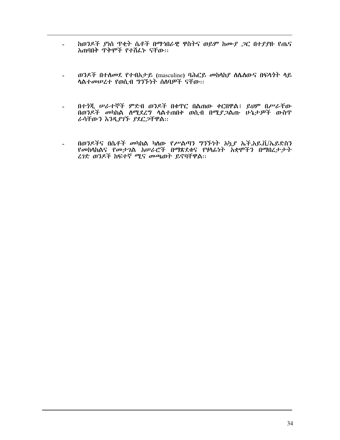- ከወንዶች ያነሰ ዋቂት ሴቶች በማኅበራዊ ዋስትና ወይም ከሙያ *ጋ*ር በተያያዙ የጤና  $\sim$ አጠባበቅ ጥቅሞች የተሽፌኑ ናቸው፡፡
- ወንዶች በተሰመደ የተብአታይ (masculine) ባሕርይ መከሳከያ ስሴስውና በፍላጎት ሳይ  $\mathbf{u}$  . ሳልተመሠረተ የወሲብ ግንኙነት ስስባዎች ናቸው።
- በተጎጂ ሠራተኞች ምድብ ወንዶች በቁጥር በልጠው ቀርበዋል፤ ይህም በሥራቸው  $\sim$ በወንዶች መካከል ስሚደረግ ሳልተጠበቀ ወሲብ በሚያ*ጋ*ልጡ ሁኔታዎች ውስጥ ራሳቸውን እንዲያገኙ ያደርጋቸዋል።
- በወንዶችና በሴቶች መካከል ካለው የሥልጣን ግንኙነት አኳይ ኤች.አይ.ቪ/ኤይድስን<br>የመከሳከልና የመታገል አሠራሮች በማጽደቁና የሃላፊነት አቋሞችን በማበረታ*ታት*  $\sim$ ረገድ ወንዶች ከፍተኛ ሚና መጫወት ይኖባቸዋል።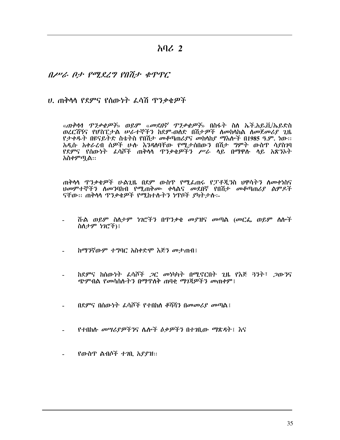አባሪ 2

#### 

#### ሀ. ጠቅሳሳ የደምና የሰውነት ፌሳሽ ጥንቃቂዎች

«*ጠቅሳሳ ዋንቃቄዎች*» ወይም «*መደበኛ ዋንቃቄዎች*» በስፋት ስለ ኤች.አይ.ቪ/ኤይድስ ወረርሽኝና የሆስፒታል ሥራተኞችን ከደም-ወለድ በሽታዎች ለመከላከል ለመጀመሪያ ጊዜ የታቀዱት በዩናይትድ ስቴትስ የበሽታ መቆጣጠሪያና መከላከያ ማእሎች በ1985 ዓ.ም. ነው፡፡ አዲሱ አቀራረብ ሰዎች ሁሉ እንዳለባቸው የሚታሰበውን በሽታ ግምት ውስጥ ሳያስንባ <u>የደምና የሰውነት ፈሳሾች ጠቅሳሳ ዋንቃቂዎችን ሥራ ሳይ በማዋሉ ሳይ አጽንኦት</u> አስቀምጧል፡፡

ጠቅሳሳ ጥንቃቄዎች ሁልጊዜ በደም ውስጥ የሚፌጠሩ የፓቶጂንስ ህዋሳትን ስመቀነስና ህመምተኞችን ስመንባከብ የሚጠቅሙ ቀሳልና መደበኛ የበሽታ መቆጣጠሪያ ልምዶች ናቸው። ጠቅሳሳ ጥንቃቄዎች የሚከተሱትን ነጥቦች ያካትታሱ፡-

- ሹል ወይም ስለታም ነገሮችን በዋንቃቄ መያዝና መጣል (መርፌ ወይም ሰሎች ስስታም ነገሮች)፤
- ከማንኛውም ተግባር አስቀድሞ እጅን መታጠብ፤
- ከደምና ከሰውነት ፈሳሾች *ጋ*ር መነካካት በሚኖርበት ጊዜ የእጅ ጓንት፣ *ጋ*ውንና ጭምብል የመሳሰሱትን በማዋለቅ ጠባቂ ማገጃዎችን መጠቀም፤
- በደምና በሰውነት ፌሳሾች የተበከለ ቆሻሻን በመመሪያ መጣል፤
- የተበከሉ መሣሪያዎችንና ሌሎች ዕቃዎችን በተገቢው ማጽዳት፤ እና
- የውስጥ ልብሶች ተገቢ አያያዝ::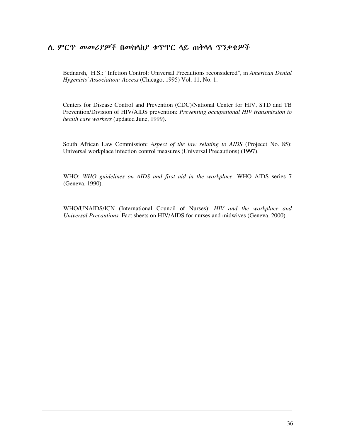#### ስ. ምርጥ መመሪያዎች በመከሳከያ ቁጥጥር ሳይ ጠቅሳሳ ጥንቃቄዎች

Bednarsh, H.S.: "Infction Control: Universal Precautions reconsidered", in *American Dental Hygenists' Association: Access* (Chicago, 1995) Vol. 11, No. 1.

Centers for Disease Control and Prevention (CDC)/National Center for HIV, STD and TB Prevention/Division of HIV/AIDS prevention: *Preventing occupational HIV transmission to health care workers* (updated June, 1999).

South African Law Commission: *Aspect of the law relating to AIDS* (Projecct No. 85): Universal workplace infection control measures (Universal Precautions) (1997).

WHO: *WHO guidelines on AIDS and first aid in the workplace,* WHO AIDS series 7 (Geneva, 1990).

WHO/UNAIDS/ICN (International Council of Nurses): *HIV and the workplace and Universal Precautions,* Fact sheets on HIV/AIDS for nurses and midwives (Geneva, 2000).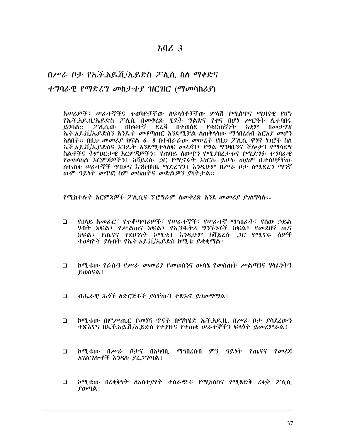#### $\lambda$   $\Omega$ ,  $\lambda$

### በሥራ ቦታ የኤች.አይ.ቨ./ኤይድስ ፖለ.ሲ. ስለ ማቀድና ተግባራዊ የማድረግ መከታተያ ዝርዝር (ማመሳከሪያ)

አሠሪዎች፣ ሠራተኞችና ተወካዮቻቸው ለፍላጎቶቻቸው ምላሽ የሚሰጥና ሚዛናዊ የሆነ የኤች.አይ.ቪ/ኤይድስ ፖሊሲ በመቅረጹ ሂደት ግልጽና የቀና በሆነ ሥርዓት ሊተባበሩ  $6.79$ ል:: ፖሊሲው በከፍተኛ ደረጃ በተወሰደ የቁርጠኛነት አቋም በመታገዝ ኤች.አይ.ቪ/ኤይድስን እንዴት መቆጣጠር እንደሚቻል ስጠቅሳሳው ማኅበረሰብ አርአደ መሆን አስበት፡፡ በዚህ መመሪያ ክፍል 6-9 በተብራራው መሠረት የዚህ ፖሊሲ ዋነኛ ነገሮች ስስ ኤች.አይ.ቪ/ኤይድስና እንዴት እንደሚተላለፍ መረጃን፣ የግል ግንዛቤንና ችሎታን የማሳደግ ስልቶችና ትምህርታዊ እርምጃዎችን፤ የጠባይ ስውዋን የሚያበረታቱና የሚደግፉ ተግባራዊ የመከሳከል እርምጃዎችን፤ ከቫይረሱ *ጋ*ር የሚኖሩት እነርሱ ይሁኑ ወይም ቤተሰቦቻቸው ስተጠቁ ሠራተኞች ጥበቃና እንክብካቤ ማድረግን፤ እንዲሁም በሥራ ቦታ ስሚደረግ ማንኛ ውም ዓይነት መዋፎ ስም መስጠትና መድልዎን ያካትታል፡፡

የሚከተሱት እርምጃዎች ፖለሲና ፕሮግራም ስመቅረጽ እንደ መመሪያ ያገለግላስ፡፡-

- የበላይ አመራር፤ የተቆጣጣሪዎች፤ የሠራተኞች፤ የሠራተኛ ማኅበራት፤ የሰው ኃይል  $\Box$ ሃብት ክፍል፣ *የሥ*ልጠና ክፍል፣ የኢ*ን*ዱትሪ **ግን**ኙነቶች ክፍል፣ የመደበኛ ጤና ክፍል፣ የጤናና የደህንነት ኮሚቴ፤ እንዲሁም ከቫይረሱ *ጋ*ር የሚኖሩ ሰ*ዎች* ተወካዮች ያስብት የኤች.አይ.ቪ/ኤይድስ ኮሚቴ ይቋቋማል፤
- $\Box$ ኮሚቴው የራሱን የሥራ መመሪያ የመወሰንና ውሳኔ የመስጠት ሥልጣንና ዛላፊነትን ይወስናል ፣
- $\Box$ ብሔራዊ ሕጎች ስድርጅቶች ያሳቸውን ተጽእኖ ይገመግማል፤
- ኮሚቴው በምሥጢር የመነሻ ጥናት በማካሄድ ኤች.አይ.ቪ. በሥራ ቦታ ያሳደረውን  $\Box$ ተጽእኖና በኤች.አይ.ቪ/ኤይድስ የተያዙና የተጠቁ ሥራተኞችን ፍላጎት ይመረምራል፤
- $\Box$ ኮሚቴው በሥራ ቦታና በአካባቢ ማኅበረሰብ ምን ዓይነት የጤናና የመረጃ አገልግሎቶች እንዳሉ ያፈጋግጣል ፡
- ኮሚቴው በረቂቅነት ስአስተያየት ተሰራጭቶ የሚከሰስና የሚጸድቅ ረቂቅ ፖሊሲ  $\Box$  $\boldsymbol{\beta}$ ወጣል ፤